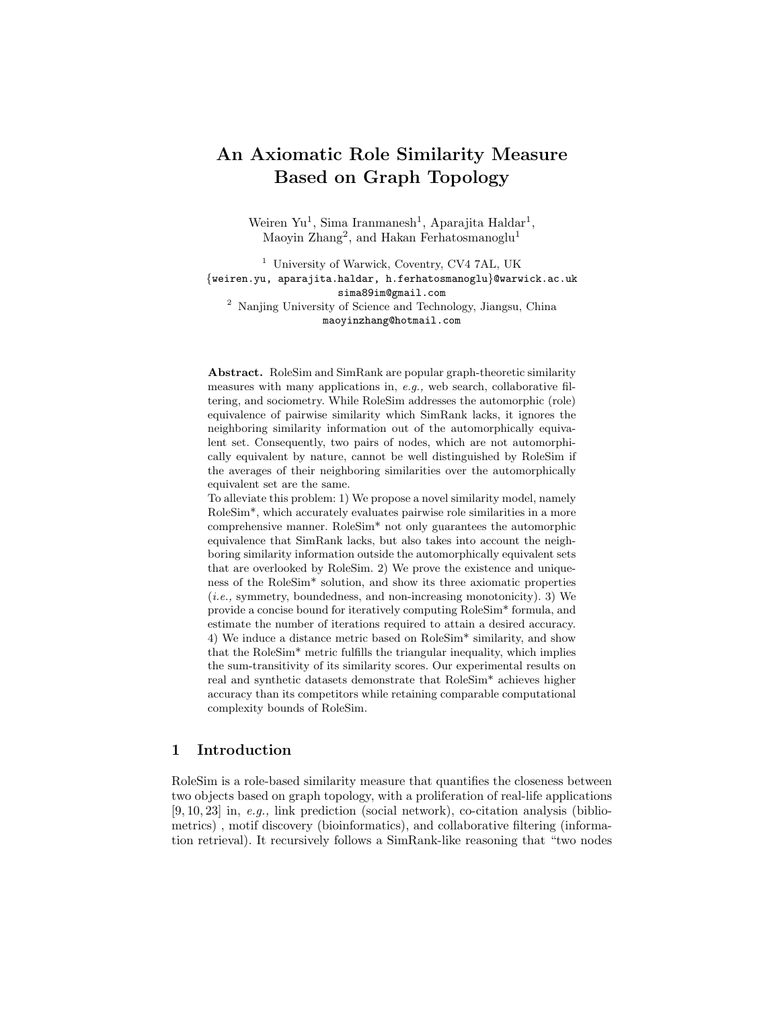# An Axiomatic Role Similarity Measure Based on Graph Topology

Weiren Yu<sup>1</sup>, Sima Iranmanesh<sup>1</sup>, Aparajita Haldar<sup>1</sup>, Maoyin Zhang<sup>2</sup>, and Hakan Ferhatosmanoglu<sup>1</sup>

<sup>1</sup> University of Warwick, Coventry, CV4 7AL, UK {weiren.yu, aparajita.haldar, h.ferhatosmanoglu}@warwick.ac.uk sima89im@gmail.com  $^{\rm 2}$  Nanjing University of Science and Technology, Jiangsu, China maoyinzhang@hotmail.com

Abstract. RoleSim and SimRank are popular graph-theoretic similarity measures with many applications in, e.g., web search, collaborative filtering, and sociometry. While RoleSim addresses the automorphic (role) equivalence of pairwise similarity which SimRank lacks, it ignores the neighboring similarity information out of the automorphically equivalent set. Consequently, two pairs of nodes, which are not automorphically equivalent by nature, cannot be well distinguished by RoleSim if the averages of their neighboring similarities over the automorphically equivalent set are the same.

To alleviate this problem: 1) We propose a novel similarity model, namely RoleSim\*, which accurately evaluates pairwise role similarities in a more comprehensive manner. RoleSim\* not only guarantees the automorphic equivalence that SimRank lacks, but also takes into account the neighboring similarity information outside the automorphically equivalent sets that are overlooked by RoleSim. 2) We prove the existence and uniqueness of the RoleSim\* solution, and show its three axiomatic properties (i.e., symmetry, boundedness, and non-increasing monotonicity). 3) We provide a concise bound for iteratively computing RoleSim\* formula, and estimate the number of iterations required to attain a desired accuracy. 4) We induce a distance metric based on RoleSim\* similarity, and show that the RoleSim\* metric fulfills the triangular inequality, which implies the sum-transitivity of its similarity scores. Our experimental results on real and synthetic datasets demonstrate that RoleSim\* achieves higher accuracy than its competitors while retaining comparable computational complexity bounds of RoleSim.

# 1 Introduction

RoleSim is a role-based similarity measure that quantifies the closeness between two objects based on graph topology, with a proliferation of real-life applications [9, 10, 23] in, e.g., link prediction (social network), co-citation analysis (bibliometrics) , motif discovery (bioinformatics), and collaborative filtering (information retrieval). It recursively follows a SimRank-like reasoning that "two nodes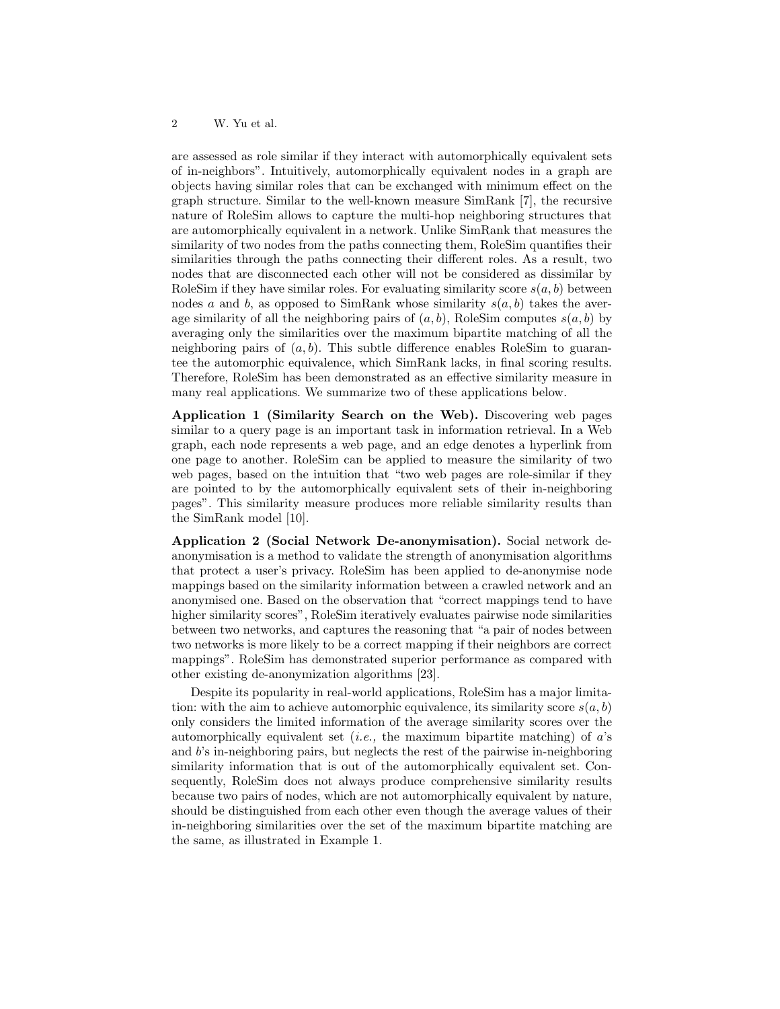are assessed as role similar if they interact with automorphically equivalent sets of in-neighbors". Intuitively, automorphically equivalent nodes in a graph are objects having similar roles that can be exchanged with minimum effect on the graph structure. Similar to the well-known measure SimRank [7], the recursive nature of RoleSim allows to capture the multi-hop neighboring structures that are automorphically equivalent in a network. Unlike SimRank that measures the similarity of two nodes from the paths connecting them, RoleSim quantifies their similarities through the paths connecting their different roles. As a result, two nodes that are disconnected each other will not be considered as dissimilar by RoleSim if they have similar roles. For evaluating similarity score  $s(a, b)$  between nodes a and b, as opposed to SimRank whose similarity  $s(a, b)$  takes the average similarity of all the neighboring pairs of  $(a, b)$ , RoleSim computes  $s(a, b)$  by averaging only the similarities over the maximum bipartite matching of all the neighboring pairs of  $(a, b)$ . This subtle difference enables RoleSim to guarantee the automorphic equivalence, which SimRank lacks, in final scoring results. Therefore, RoleSim has been demonstrated as an effective similarity measure in many real applications. We summarize two of these applications below.

Application 1 (Similarity Search on the Web). Discovering web pages similar to a query page is an important task in information retrieval. In a Web graph, each node represents a web page, and an edge denotes a hyperlink from one page to another. RoleSim can be applied to measure the similarity of two web pages, based on the intuition that "two web pages are role-similar if they are pointed to by the automorphically equivalent sets of their in-neighboring pages". This similarity measure produces more reliable similarity results than the SimRank model [10].

Application 2 (Social Network De-anonymisation). Social network deanonymisation is a method to validate the strength of anonymisation algorithms that protect a user's privacy. RoleSim has been applied to de-anonymise node mappings based on the similarity information between a crawled network and an anonymised one. Based on the observation that "correct mappings tend to have higher similarity scores", RoleSim iteratively evaluates pairwise node similarities between two networks, and captures the reasoning that "a pair of nodes between two networks is more likely to be a correct mapping if their neighbors are correct mappings". RoleSim has demonstrated superior performance as compared with other existing de-anonymization algorithms [23].

Despite its popularity in real-world applications, RoleSim has a major limitation: with the aim to achieve automorphic equivalence, its similarity score  $s(a, b)$ only considers the limited information of the average similarity scores over the automorphically equivalent set *(i.e.,* the maximum bipartite matching) of  $a$ 's and  $b$ 's in-neighboring pairs, but neglects the rest of the pairwise in-neighboring similarity information that is out of the automorphically equivalent set. Consequently, RoleSim does not always produce comprehensive similarity results because two pairs of nodes, which are not automorphically equivalent by nature, should be distinguished from each other even though the average values of their in-neighboring similarities over the set of the maximum bipartite matching are the same, as illustrated in Example 1.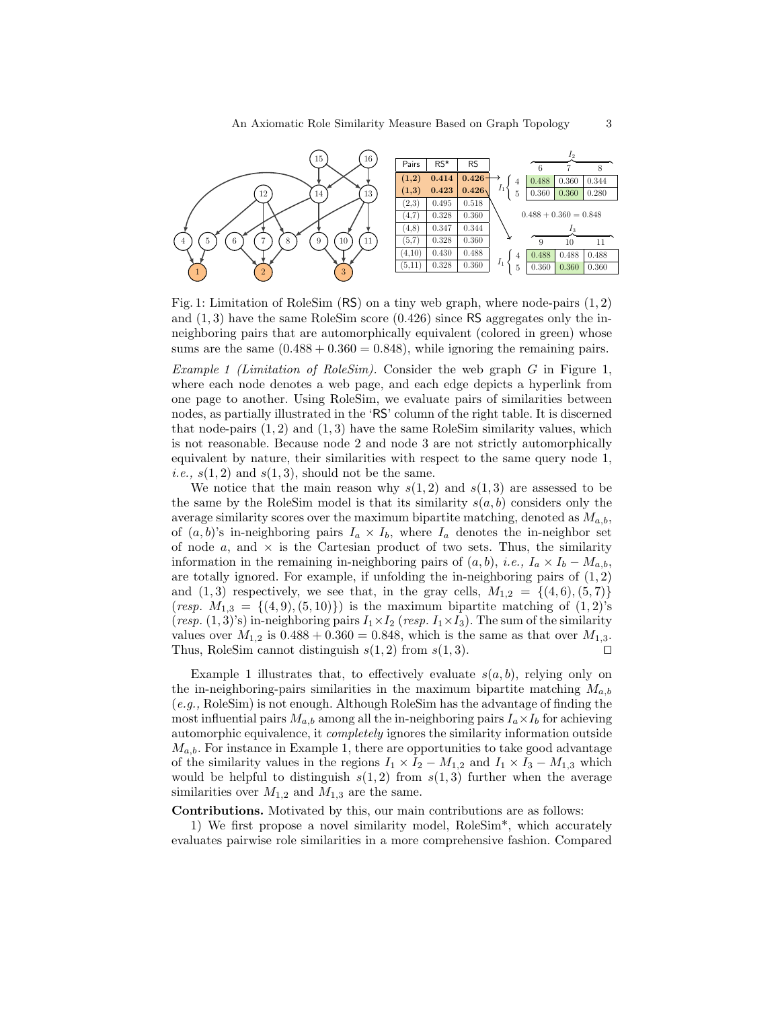

Fig. 1: Limitation of RoleSim  $(RS)$  on a tiny web graph, where node-pairs  $(1, 2)$ and  $(1, 3)$  have the same RoleSim score  $(0.426)$  since RS aggregates only the inneighboring pairs that are automorphically equivalent (colored in green) whose sums are the same  $(0.488 + 0.360 = 0.848)$ , while ignoring the remaining pairs.

Example 1 (Limitation of RoleSim). Consider the web graph  $G$  in Figure 1, where each node denotes a web page, and each edge depicts a hyperlink from one page to another. Using RoleSim, we evaluate pairs of similarities between nodes, as partially illustrated in the 'RS' column of the right table. It is discerned that node-pairs  $(1, 2)$  and  $(1, 3)$  have the same RoleSim similarity values, which is not reasonable. Because node 2 and node 3 are not strictly automorphically equivalent by nature, their similarities with respect to the same query node 1, *i.e.*,  $s(1, 2)$  and  $s(1, 3)$ , should not be the same.

We notice that the main reason why  $s(1,2)$  and  $s(1,3)$  are assessed to be the same by the RoleSim model is that its similarity  $s(a, b)$  considers only the average similarity scores over the maximum bipartite matching, denoted as  $M_{a,b}$ , of  $(a, b)$ 's in-neighboring pairs  $I_a \times I_b$ , where  $I_a$  denotes the in-neighbor set of node  $a$ , and  $\times$  is the Cartesian product of two sets. Thus, the similarity information in the remaining in-neighboring pairs of  $(a, b)$ , *i.e.*,  $I_a \times I_b - M_{a,b}$ , are totally ignored. For example, if unfolding the in-neighboring pairs of  $(1, 2)$ and  $(1,3)$  respectively, we see that, in the gray cells,  $M_{1,2} = \{(4,6), (5,7)\}$ (resp.  $M_{1,3} = \{(4,9), (5,10)\}\)$  is the maximum bipartite matching of  $(1,2)$ 's (resp.  $(1,3)$ 's) in-neighboring pairs  $I_1 \times I_2$  (resp.  $I_1 \times I_3$ ). The sum of the similarity values over  $M_{1,2}$  is  $0.488 + 0.360 = 0.848$ , which is the same as that over  $M_{1,3}$ . Thus, RoleSim cannot distinguish  $s(1, 2)$  from  $s(1, 3)$ .

Example 1 illustrates that, to effectively evaluate  $s(a, b)$ , relying only on the in-neighboring-pairs similarities in the maximum bipartite matching  $M_{a,b}$ (e.g., RoleSim) is not enough. Although RoleSim has the advantage of finding the most influential pairs  $M_{a,b}$  among all the in-neighboring pairs  $I_a \times I_b$  for achieving automorphic equivalence, it completely ignores the similarity information outside  $M_{a,b}$ . For instance in Example 1, there are opportunities to take good advantage of the similarity values in the regions  $I_1 \times I_2 - M_{1,2}$  and  $I_1 \times I_3 - M_{1,3}$  which would be helpful to distinguish  $s(1,2)$  from  $s(1,3)$  further when the average similarities over  $M_{1,2}$  and  $M_{1,3}$  are the same.

Contributions. Motivated by this, our main contributions are as follows:

1) We first propose a novel similarity model, RoleSim\*, which accurately evaluates pairwise role similarities in a more comprehensive fashion. Compared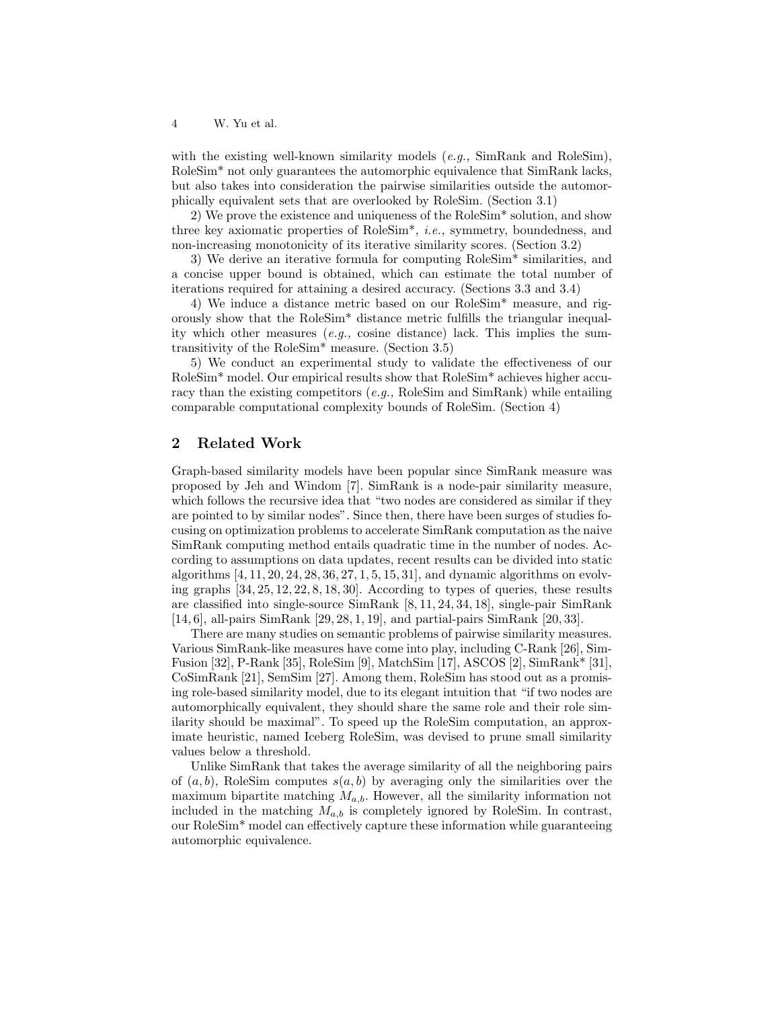with the existing well-known similarity models  $(e.g., \text{ SimRank and RoleSim}),$ RoleSim\* not only guarantees the automorphic equivalence that SimRank lacks, but also takes into consideration the pairwise similarities outside the automorphically equivalent sets that are overlooked by RoleSim. (Section 3.1)

2) We prove the existence and uniqueness of the RoleSim\* solution, and show three key axiomatic properties of RoleSim\*, i.e., symmetry, boundedness, and non-increasing monotonicity of its iterative similarity scores. (Section 3.2)

3) We derive an iterative formula for computing RoleSim\* similarities, and a concise upper bound is obtained, which can estimate the total number of iterations required for attaining a desired accuracy. (Sections 3.3 and 3.4)

4) We induce a distance metric based on our RoleSim\* measure, and rigorously show that the RoleSim\* distance metric fulfills the triangular inequality which other measures (e.g., cosine distance) lack. This implies the sumtransitivity of the RoleSim\* measure. (Section 3.5)

5) We conduct an experimental study to validate the effectiveness of our RoleSim\* model. Our empirical results show that RoleSim\* achieves higher accuracy than the existing competitors  $(e.g., \text{ RoleSim and SimRank})$  while entailing comparable computational complexity bounds of RoleSim. (Section 4)

# 2 Related Work

Graph-based similarity models have been popular since SimRank measure was proposed by Jeh and Windom [7]. SimRank is a node-pair similarity measure, which follows the recursive idea that "two nodes are considered as similar if they are pointed to by similar nodes". Since then, there have been surges of studies focusing on optimization problems to accelerate SimRank computation as the naive SimRank computing method entails quadratic time in the number of nodes. According to assumptions on data updates, recent results can be divided into static algorithms [4, 11, 20, 24, 28, 36, 27, 1, 5, 15, 31], and dynamic algorithms on evolving graphs [34, 25, 12, 22, 8, 18, 30]. According to types of queries, these results are classified into single-source SimRank [8, 11, 24, 34, 18], single-pair SimRank [14, 6], all-pairs SimRank [29, 28, 1, 19], and partial-pairs SimRank [20, 33].

There are many studies on semantic problems of pairwise similarity measures. Various SimRank-like measures have come into play, including C-Rank [26], Sim-Fusion [32], P-Rank [35], RoleSim [9], MatchSim [17], ASCOS [2], SimRank\* [31], CoSimRank [21], SemSim [27]. Among them, RoleSim has stood out as a promising role-based similarity model, due to its elegant intuition that "if two nodes are automorphically equivalent, they should share the same role and their role similarity should be maximal". To speed up the RoleSim computation, an approximate heuristic, named Iceberg RoleSim, was devised to prune small similarity values below a threshold.

Unlike SimRank that takes the average similarity of all the neighboring pairs of  $(a, b)$ , RoleSim computes  $s(a, b)$  by averaging only the similarities over the maximum bipartite matching  $M_{a,b}$ . However, all the similarity information not included in the matching  $M_{a,b}$  is completely ignored by RoleSim. In contrast, our RoleSim\* model can effectively capture these information while guaranteeing automorphic equivalence.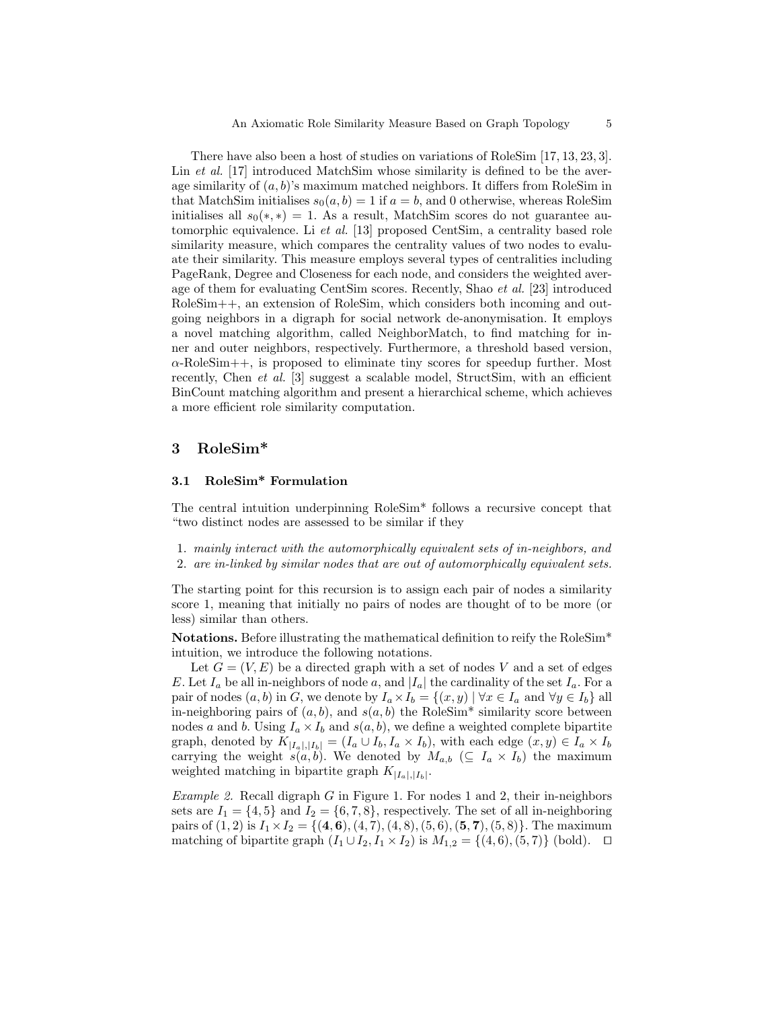There have also been a host of studies on variations of RoleSim [17, 13, 23, 3]. Lin *et al.* [17] introduced MatchSim whose similarity is defined to be the average similarity of  $(a, b)$ 's maximum matched neighbors. It differs from RoleSim in that MatchSim initialises  $s_0(a, b) = 1$  if  $a = b$ , and 0 otherwise, whereas RoleSim initialises all  $s_0(*,*) = 1$ . As a result, MatchSim scores do not guarantee automorphic equivalence. Li et al. [13] proposed CentSim, a centrality based role similarity measure, which compares the centrality values of two nodes to evaluate their similarity. This measure employs several types of centralities including PageRank, Degree and Closeness for each node, and considers the weighted average of them for evaluating CentSim scores. Recently, Shao et al. [23] introduced RoleSim++, an extension of RoleSim, which considers both incoming and outgoing neighbors in a digraph for social network de-anonymisation. It employs a novel matching algorithm, called NeighborMatch, to find matching for inner and outer neighbors, respectively. Furthermore, a threshold based version, α-RoleSim++, is proposed to eliminate tiny scores for speedup further. Most recently, Chen et al. [3] suggest a scalable model, StructSim, with an efficient BinCount matching algorithm and present a hierarchical scheme, which achieves a more efficient role similarity computation.

# 3 RoleSim\*

#### 3.1 RoleSim\* Formulation

The central intuition underpinning RoleSim\* follows a recursive concept that "two distinct nodes are assessed to be similar if they

- 1. mainly interact with the automorphically equivalent sets of in-neighbors, and 2. are in-linked by similar nodes that are out of automorphically equivalent sets.
- 

The starting point for this recursion is to assign each pair of nodes a similarity score 1, meaning that initially no pairs of nodes are thought of to be more (or less) similar than others.

Notations. Before illustrating the mathematical definition to reify the RoleSim\* intuition, we introduce the following notations.

Let  $G = (V, E)$  be a directed graph with a set of nodes V and a set of edges E. Let  $I_a$  be all in-neighbors of node a, and  $|I_a|$  the cardinality of the set  $I_a$ . For a pair of nodes  $(a, b)$  in G, we denote by  $I_a \times I_b = \{(x, y) \mid \forall x \in I_a \text{ and } \forall y \in I_b \}$  all in-neighboring pairs of  $(a, b)$ , and  $s(a, b)$  the RoleSim<sup>\*</sup> similarity score between nodes a and b. Using  $I_a \times I_b$  and  $s(a, b)$ , we define a weighted complete bipartite graph, denoted by  $K_{|I_a|,|I_b|} = (I_a \cup I_b, I_a \times I_b)$ , with each edge  $(x, y) \in I_a \times I_b$ carrying the weight  $s(a, b)$ . We denoted by  $M_{a,b} \ (\subseteq I_a \times I_b)$  the maximum weighted matching in bipartite graph  $K_{|I_a|,|I_b|}$ .

*Example 2.* Recall digraph  $G$  in Figure 1. For nodes 1 and 2, their in-neighbors sets are  $I_1 = \{4, 5\}$  and  $I_2 = \{6, 7, 8\}$ , respectively. The set of all in-neighboring pairs of  $(1, 2)$  is  $I_1 \times I_2 = \{(4, 6), (4, 7), (4, 8), (5, 6), (5, 7), (5, 8)\}.$  The maximum matching of bipartite graph  $(I_1 \cup I_2, I_1 \times I_2)$  is  $M_{1,2} = \{(4,6), (5,7)\}$  (bold). □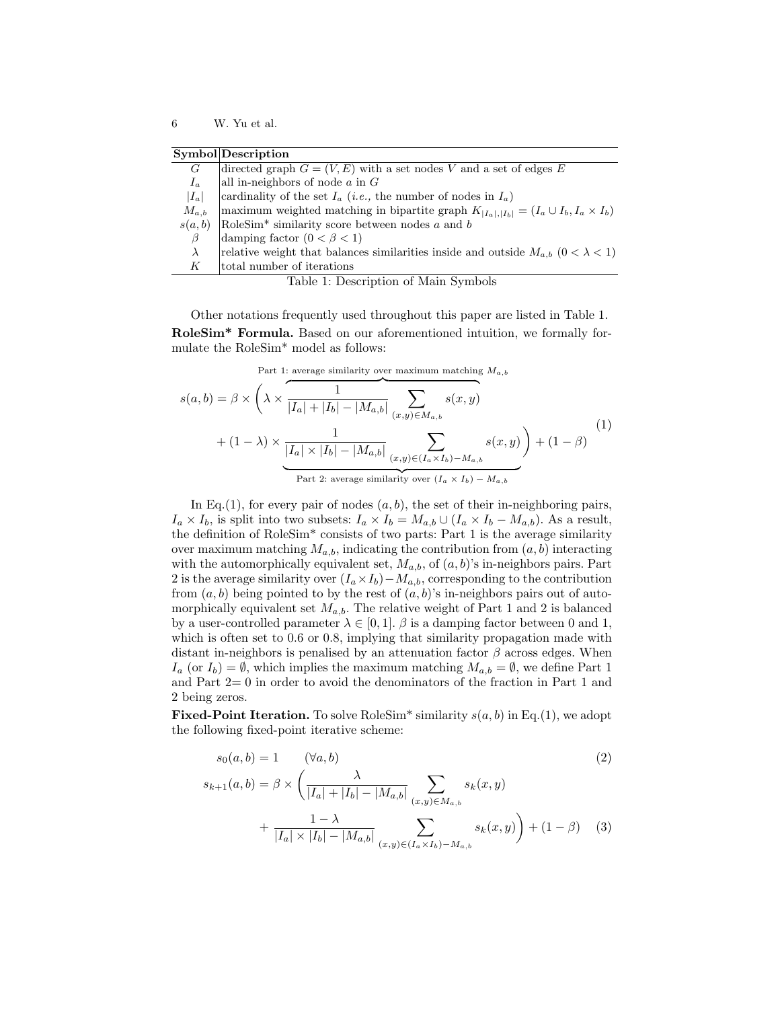|           | Symbol Description                                                                              |
|-----------|-------------------------------------------------------------------------------------------------|
| G         | directed graph $G = (V, E)$ with a set nodes V and a set of edges E                             |
| $I_a$     | all in-neighbors of node $a$ in $G$                                                             |
| $ I_a $   | cardinality of the set $I_a$ ( <i>i.e.</i> , the number of nodes in $I_a$ )                     |
| $M_{a,b}$ | maximum weighted matching in bipartite graph $K_{ I_a , I_b } = (I_a \cup I_b, I_a \times I_b)$ |
| s(a,b)    | $RoleSim*$ similarity score between nodes a and b                                               |
| $\beta$   | damping factor $(0 < \beta < 1)$                                                                |
| $\lambda$ | relative weight that balances similarities inside and outside $M_{a,b}$ $(0 < \lambda < 1)$     |
| K         | total number of iterations                                                                      |
|           | $\pi$ ii in the case of ii                                                                      |

Table 1: Description of Main Symbols

Other notations frequently used throughout this paper are listed in Table 1. RoleSim\* Formula. Based on our aforementioned intuition, we formally formulate the RoleSim\* model as follows:

Part 1: average similarity over maximum matching 
$$
M_{a,b}
$$
  
\n
$$
s(a,b) = \beta \times \left(\lambda \times \frac{1}{|I_a| + |I_b| - |M_{a,b}|} \sum_{(x,y) \in M_{a,b}} s(x,y)\right)
$$
\n
$$
+ (1 - \lambda) \times \frac{1}{|I_a| \times |I_b| - |M_{a,b}|} \sum_{(x,y) \in (I_a \times I_b) - M_{a,b}} s(x,y) + (1 - \beta)
$$
\nPart 2: average similarity over  $(I_a \times I_b) - M_{a,b}$  (1)

In Eq.(1), for every pair of nodes  $(a, b)$ , the set of their in-neighboring pairs,  $I_a \times I_b$ , is split into two subsets:  $I_a \times I_b = M_{a,b} \cup (I_a \times I_b - M_{a,b})$ . As a result, the definition of RoleSim\* consists of two parts: Part 1 is the average similarity over maximum matching  $M_{a,b}$ , indicating the contribution from  $(a, b)$  interacting with the automorphically equivalent set,  $M_{a,b}$ , of  $(a, b)$ 's in-neighbors pairs. Part 2 is the average similarity over  $(I_a \times I_b) - M_{a,b}$ , corresponding to the contribution from  $(a, b)$  being pointed to by the rest of  $(a, b)$ 's in-neighbors pairs out of automorphically equivalent set  $M_{a,b}$ . The relative weight of Part 1 and 2 is balanced by a user-controlled parameter  $\lambda \in [0,1]$ .  $\beta$  is a damping factor between 0 and 1, which is often set to 0.6 or 0.8, implying that similarity propagation made with distant in-neighbors is penalised by an attenuation factor  $\beta$  across edges. When  $I_a$  (or  $I_b$ ) =  $\emptyset$ , which implies the maximum matching  $M_{a,b} = \emptyset$ , we define Part 1 and Part 2= 0 in order to avoid the denominators of the fraction in Part 1 and 2 being zeros.

**Fixed-Point Iteration.** To solve RoleSim<sup>\*</sup> similarity  $s(a, b)$  in Eq.(1), we adopt the following fixed-point iterative scheme:

$$
s_0(a, b) = 1 \qquad (\forall a, b)
$$
\n
$$
s_{k+1}(a, b) = \beta \times \left(\frac{\lambda}{|I_a| + |I_b| - |M_{a,b}|}\sum_{(x, y) \in M_{a,b}} s_k(x, y)\right)
$$
\n
$$
+ \frac{1 - \lambda}{|I_a| \times |I_b| - |M_{a,b}|}\sum_{(x, y) \in (I_a \times I_b) - M_{a,b}} s_k(x, y)\right) + (1 - \beta) \quad (3)
$$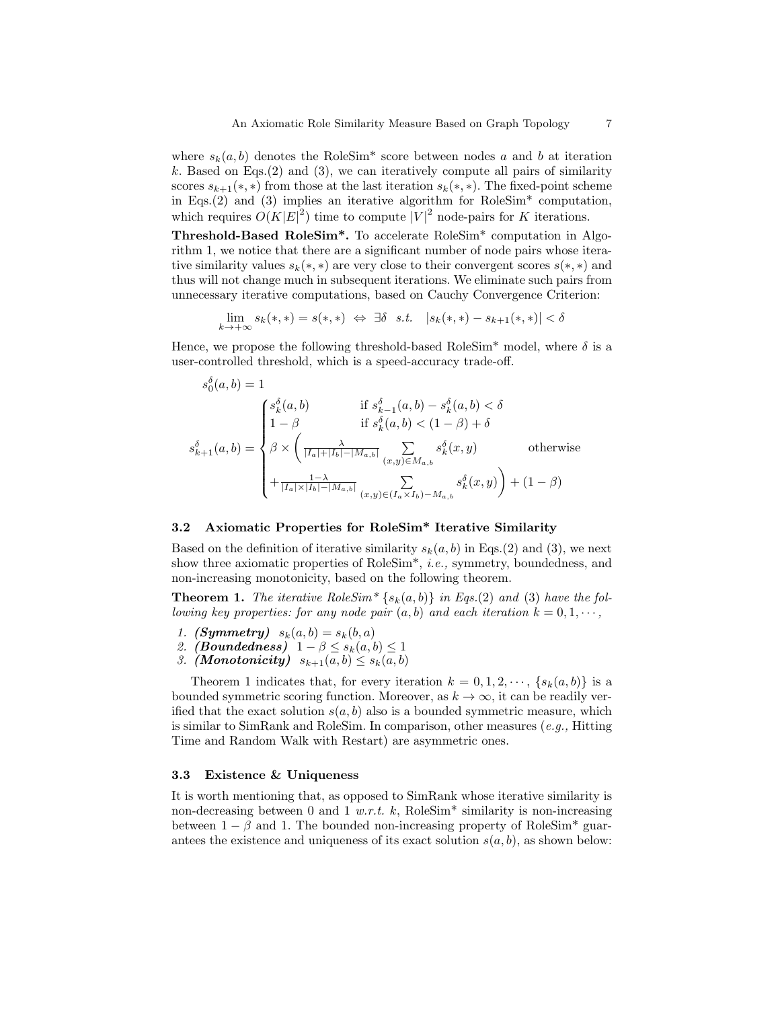where  $s_k(a, b)$  denotes the RoleSim<sup>\*</sup> score between nodes a and b at iteration k. Based on Eqs. $(2)$  and  $(3)$ , we can iteratively compute all pairs of similarity scores  $s_{k+1}(*,*)$  from those at the last iteration  $s_k(*,*)$ . The fixed-point scheme in Eqs.(2) and (3) implies an iterative algorithm for RoleSim\* computation, which requires  $O(K|E|^2)$  time to compute  $|V|^2$  node-pairs for K iterations.

Threshold-Based RoleSim\*. To accelerate RoleSim\* computation in Algorithm 1, we notice that there are a significant number of node pairs whose iterative similarity values  $s_k(*,*)$  are very close to their convergent scores  $s(*,*)$  and thus will not change much in subsequent iterations. We eliminate such pairs from unnecessary iterative computations, based on Cauchy Convergence Criterion:

$$
\lim_{k \to +\infty} s_k(*,*) = s(*,*) \Leftrightarrow \exists \delta \quad s.t. \quad |s_k(*,*) - s_{k+1}(*,*)| < \delta
$$

Hence, we propose the following threshold-based RoleSim<sup>\*</sup> model, where  $\delta$  is a user-controlled threshold, which is a speed-accuracy trade-off.

$$
s_0^{\delta}(a,b) = 1
$$
  

$$
s_k^{\delta}(a,b) = \begin{cases} s_k^{\delta}(a,b) & \text{if } s_{k-1}^{\delta}(a,b) - s_k^{\delta}(a,b) < \delta \\ 1 - \beta & \text{if } s_k^{\delta}(a,b) < (1 - \beta) + \delta \\ \beta \times \left( \frac{\lambda}{|I_a| + |I_b| - |M_{a,b}|} \sum_{(x,y) \in M_{a,b}} s_k^{\delta}(x,y) \right) & \text{otherwise} \\ + \frac{1 - \lambda}{|I_a| \times |I_b| - |M_{a,b}|} \sum_{(x,y) \in (I_a \times I_b) - M_{a,b}} s_k^{\delta}(x,y) \right) + (1 - \beta)
$$

#### 3.2 Axiomatic Properties for RoleSim\* Iterative Similarity

Based on the definition of iterative similarity  $s_k(a, b)$  in Eqs.(2) and (3), we next show three axiomatic properties of RoleSim\*, i.e., symmetry, boundedness, and non-increasing monotonicity, based on the following theorem.

**Theorem 1.** The iterative RoleSim<sup>\*</sup> { $s_k(a, b)$ } in Eqs.(2) and (3) have the following key properties: for any node pair  $(a, b)$  and each iteration  $k = 0, 1, \dots$ ,

- 1. (Symmetry)  $s_k(a, b) = s_k(b, a)$
- 2. (Boundedness)  $1 \beta \leq s_k(a, b) \leq 1$
- 3. (Monotonicity)  $s_{k+1}(a, b) \leq s_k(a, b)$

Theorem 1 indicates that, for every iteration  $k = 0, 1, 2, \dots, \{s_k(a, b)\}\$ is a bounded symmetric scoring function. Moreover, as  $k \to \infty$ , it can be readily verified that the exact solution  $s(a, b)$  also is a bounded symmetric measure, which is similar to SimRank and RoleSim. In comparison, other measures (e.g., Hitting Time and Random Walk with Restart) are asymmetric ones.

#### 3.3 Existence & Uniqueness

It is worth mentioning that, as opposed to SimRank whose iterative similarity is non-decreasing between 0 and 1 w.r.t. k, RoleSim<sup>\*</sup> similarity is non-increasing between  $1 - \beta$  and 1. The bounded non-increasing property of RoleSim<sup>\*</sup> guarantees the existence and uniqueness of its exact solution  $s(a, b)$ , as shown below: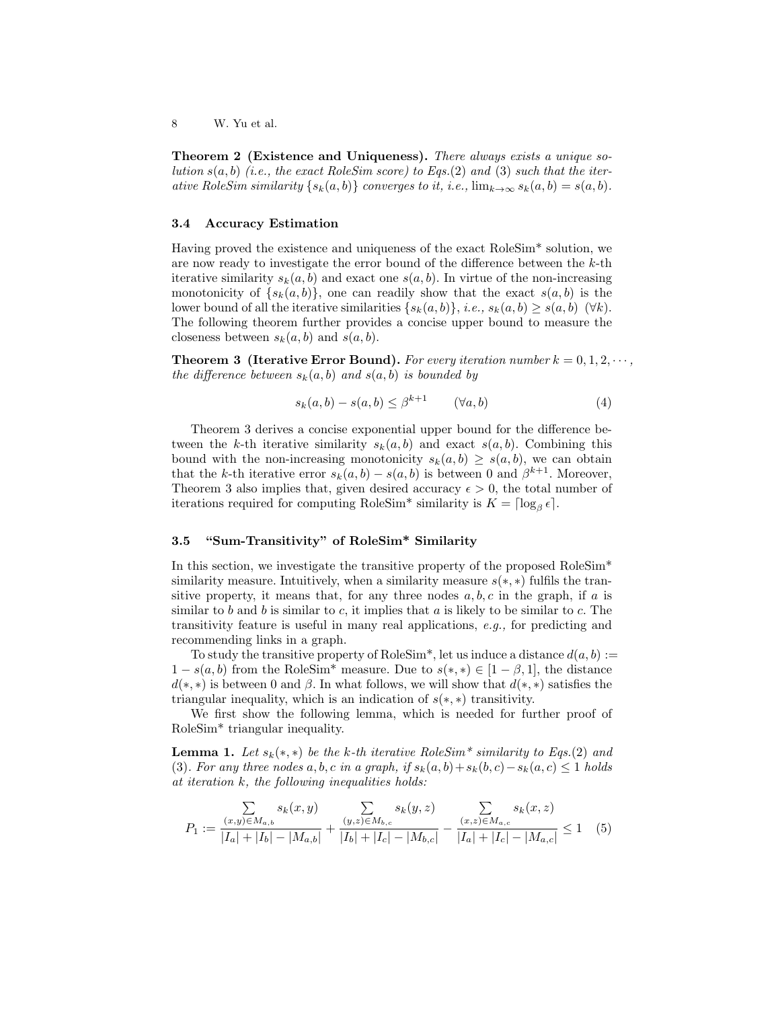Theorem 2 (Existence and Uniqueness). There always exists a unique solution  $s(a, b)$  (i.e., the exact RoleSim score) to Eqs.(2) and (3) such that the iterative RoleSim similarity  $\{s_k(a, b)\}\$ converges to it, i.e.,  $\lim_{k\to\infty} s_k(a, b) = s(a, b)$ .

#### 3.4 Accuracy Estimation

Having proved the existence and uniqueness of the exact RoleSim\* solution, we are now ready to investigate the error bound of the difference between the k-th iterative similarity  $s_k(a, b)$  and exact one  $s(a, b)$ . In virtue of the non-increasing monotonicity of  $\{s_k(a, b)\}\)$ , one can readily show that the exact  $s(a, b)$  is the lower bound of all the iterative similarities  $\{s_k(a, b)\}, i.e., s_k(a, b) \geq s(a, b)$  ( $\forall k$ ). The following theorem further provides a concise upper bound to measure the closeness between  $s_k(a, b)$  and  $s(a, b)$ .

**Theorem 3 (Iterative Error Bound).** For every iteration number  $k = 0, 1, 2, \dots$ , the difference between  $s_k(a, b)$  and  $s(a, b)$  is bounded by

$$
s_k(a,b) - s(a,b) \le \beta^{k+1} \qquad (\forall a, b) \tag{4}
$$

Theorem 3 derives a concise exponential upper bound for the difference between the k-th iterative similarity  $s_k(a, b)$  and exact  $s(a, b)$ . Combining this bound with the non-increasing monotonicity  $s_k(a, b) \geq s(a, b)$ , we can obtain that the k-th iterative error  $s_k(a, b) - s(a, b)$  is between 0 and  $\beta^{k+1}$ . Moreover, Theorem 3 also implies that, given desired accuracy  $\epsilon > 0$ , the total number of iterations required for computing RoleSim<sup>\*</sup> similarity is  $K = \lceil \log_\beta \epsilon \rceil$ .

#### 3.5 "Sum-Transitivity" of RoleSim\* Similarity

In this section, we investigate the transitive property of the proposed RoleSim\* similarity measure. Intuitively, when a similarity measure  $s(*, *)$  fulfils the transitive property, it means that, for any three nodes  $a, b, c$  in the graph, if a is similar to b and b is similar to c, it implies that a is likely to be similar to c. The transitivity feature is useful in many real applications, e.g., for predicting and recommending links in a graph.

To study the transitive property of RoleSim<sup>\*</sup>, let us induce a distance  $d(a, b) :=$  $1 - s(a, b)$  from the RoleSim<sup>\*</sup> measure. Due to  $s(*, *) \in [1 - \beta, 1]$ , the distance  $d(*, *)$  is between 0 and  $\beta$ . In what follows, we will show that  $d(*, *)$  satisfies the triangular inequality, which is an indication of  $s(*, *)$  transitivity.

We first show the following lemma, which is needed for further proof of RoleSim\* triangular inequality.

**Lemma 1.** Let  $s_k(*,*)$  be the k-th iterative RoleSim<sup>\*</sup> similarity to Eqs.(2) and (3). For any three nodes a, b, c in a graph, if  $s_k(a, b) + s_k(b, c) - s_k(a, c) \leq 1$  holds at iteration k, the following inequalities holds:

$$
P_1 := \frac{\sum_{(x,y)\in M_{a,b}} s_k(x,y)}{|I_a| + |I_b| - |M_{a,b}|} + \frac{(y,z)\in M_{b,c}}{|I_b| + |I_c| - |M_{b,c}|} - \frac{(x,z)\in M_{a,c}}{|I_a| + |I_c| - |M_{a,c}|} \le 1 \quad (5)
$$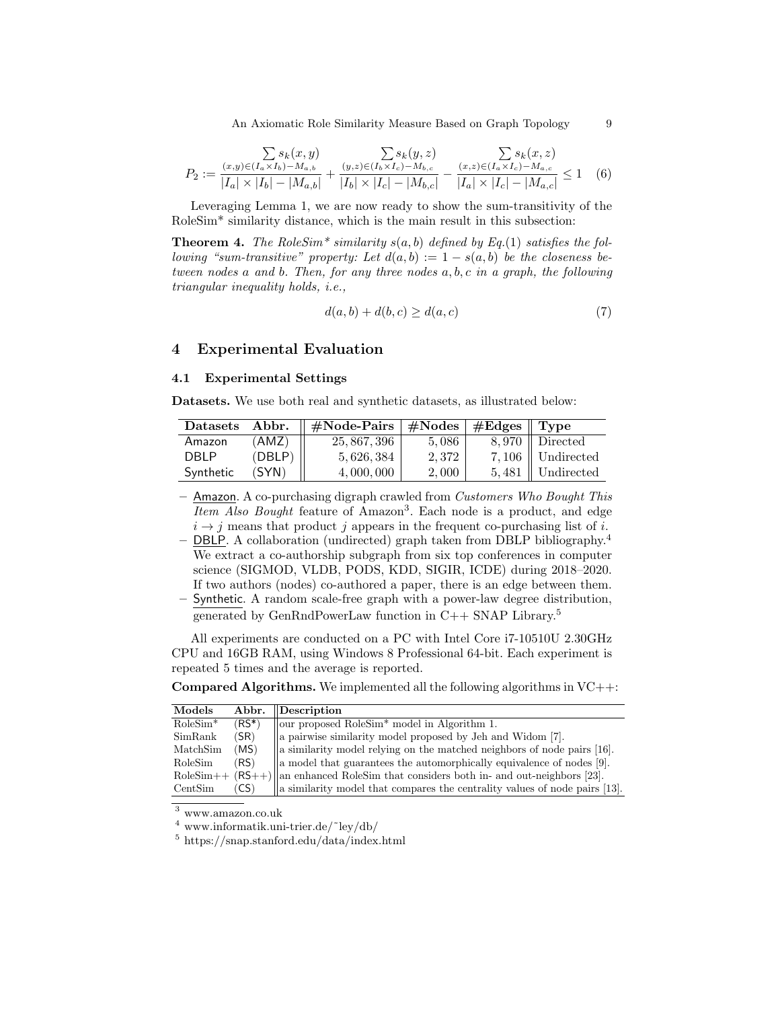An Axiomatic Role Similarity Measure Based on Graph Topology 9

$$
P_2 := \frac{\sum s_k(x, y)}{|I_a| \times |I_b| - |M_{a,b}|} + \frac{(y, z) \in (I_b \times I_c) - M_{b,c}}{|I_b| \times |I_b| - |M_{a,b}|} + \frac{(y, z) \in (I_b \times I_c) - M_{b,c}}{|I_b| \times |I_c| - |M_{b,c}|} - \frac{(x, z) \in (I_a \times I_c) - M_{a,c}}{|I_a| \times |I_c| - |M_{a,c}|} \le 1 \tag{6}
$$

Leveraging Lemma 1, we are now ready to show the sum-transitivity of the RoleSim\* similarity distance, which is the main result in this subsection:

**Theorem 4.** The RoleSim<sup>\*</sup> similarity  $s(a, b)$  defined by Eq.(1) satisfies the following "sum-transitive" property: Let  $d(a, b) := 1 - s(a, b)$  be the closeness between nodes a and b. Then, for any three nodes a, b, c in a graph, the following triangular inequality holds, i.e.,

$$
d(a,b) + d(b,c) \ge d(a,c) \tag{7}
$$

# 4 Experimental Evaluation

### 4.1 Experimental Settings

Datasets. We use both real and synthetic datasets, as illustrated below:

| Datasets  | Abbr.  | $\#Node\text{-Pairs}$   $\#Nodes$   $\#Edges$    Type |       |                              |
|-----------|--------|-------------------------------------------------------|-------|------------------------------|
| Amazon    | (AMZ)  | 25, 867, 396                                          | 5,086 | $8,970$   Directed           |
| DBLP      | (DBLP) | 5, 626, 384                                           | 2,372 | 7,106 $\parallel$ Undirected |
| Synthetic | (SYN)  | 4,000,000                                             | 2,000 | $5,481$ Undirected           |

- $-$  Amazon. A co-purchasing digraph crawled from *Customers Who Bought This* Item Also Bought feature of Amazon<sup>3</sup>. Each node is a product, and edge  $i \rightarrow j$  means that product j appears in the frequent co-purchasing list of i.
- DBLP. A collaboration (undirected) graph taken from DBLP bibliography.<sup>4</sup> We extract a co-authorship subgraph from six top conferences in computer science (SIGMOD, VLDB, PODS, KDD, SIGIR, ICDE) during 2018–2020. If two authors (nodes) co-authored a paper, there is an edge between them.
- Synthetic. A random scale-free graph with a power-law degree distribution, generated by GenRndPowerLaw function in C++ SNAP Library.<sup>5</sup>

All experiments are conducted on a PC with Intel Core i7-10510U 2.30GHz CPU and 16GB RAM, using Windows 8 Professional 64-bit. Each experiment is repeated 5 times and the average is reported.

Compared Algorithms. We implemented all the following algorithms in VC++:

| Models             | Abbr. | $\parallel$ Description                                                         |
|--------------------|-------|---------------------------------------------------------------------------------|
| $RoleSim*$         | (RS*) | $\parallel$ our proposed RoleSim <sup>*</sup> model in Algorithm 1.             |
| SimRank            | (SR)  | $\parallel$ a pairwise similarity model proposed by Jeh and Widom [7].          |
| MatchSim           | (MS)  | a similarity model relying on the matched neighbors of node pairs [16].         |
| RoleSim            | (RS)  | $\ $ a model that guarantees the automorphically equivalence of nodes [9].      |
| $RoleSim++ (RS++)$ |       | an enhanced RoleSim that considers both in- and out-neighbors [23].             |
| CentSim            | (CS)  | $\ $ a similarity model that compares the centrality values of node pairs [13]. |

<sup>3</sup> www.amazon.co.uk

 $4$  www.informatik.uni-trier.de/ $\degree$ ley/db/

<sup>5</sup> https://snap.stanford.edu/data/index.html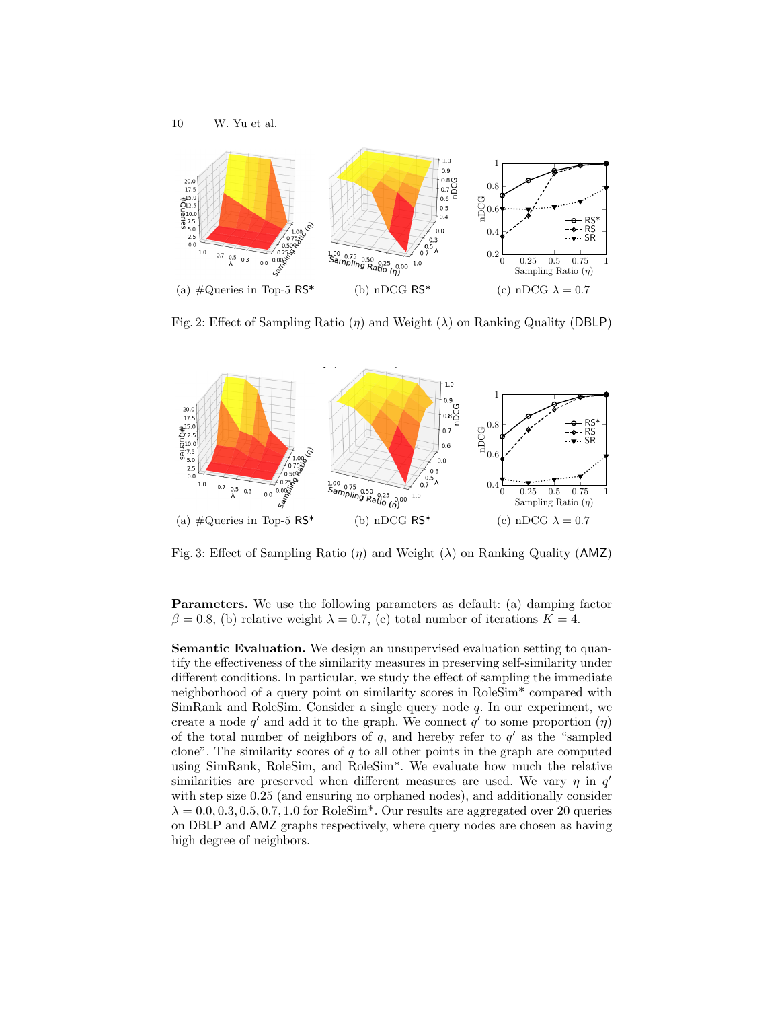

Fig. 2: Effect of Sampling Ratio  $(\eta)$  and Weight  $(\lambda)$  on Ranking Quality (DBLP)



Fig. 3: Effect of Sampling Ratio  $(\eta)$  and Weight  $(\lambda)$  on Ranking Quality (AMZ)

Parameters. We use the following parameters as default: (a) damping factor  $\beta = 0.8$ , (b) relative weight  $\lambda = 0.7$ , (c) total number of iterations  $K = 4$ .

Semantic Evaluation. We design an unsupervised evaluation setting to quantify the effectiveness of the similarity measures in preserving self-similarity under different conditions. In particular, we study the effect of sampling the immediate neighborhood of a query point on similarity scores in RoleSim\* compared with SimRank and RoleSim. Consider a single query node q. In our experiment, we create a node q' and add it to the graph. We connect  $q'$  to some proportion  $(\eta)$ of the total number of neighbors of  $q$ , and hereby refer to  $q'$  as the "sampled" clone". The similarity scores of  $q$  to all other points in the graph are computed using SimRank, RoleSim, and RoleSim\*. We evaluate how much the relative similarities are preserved when different measures are used. We vary  $\eta$  in  $q'$ with step size 0.25 (and ensuring no orphaned nodes), and additionally consider  $\lambda = 0.0, 0.3, 0.5, 0.7, 1.0$  for RoleSim<sup>\*</sup>. Our results are aggregated over 20 queries on DBLP and AMZ graphs respectively, where query nodes are chosen as having high degree of neighbors.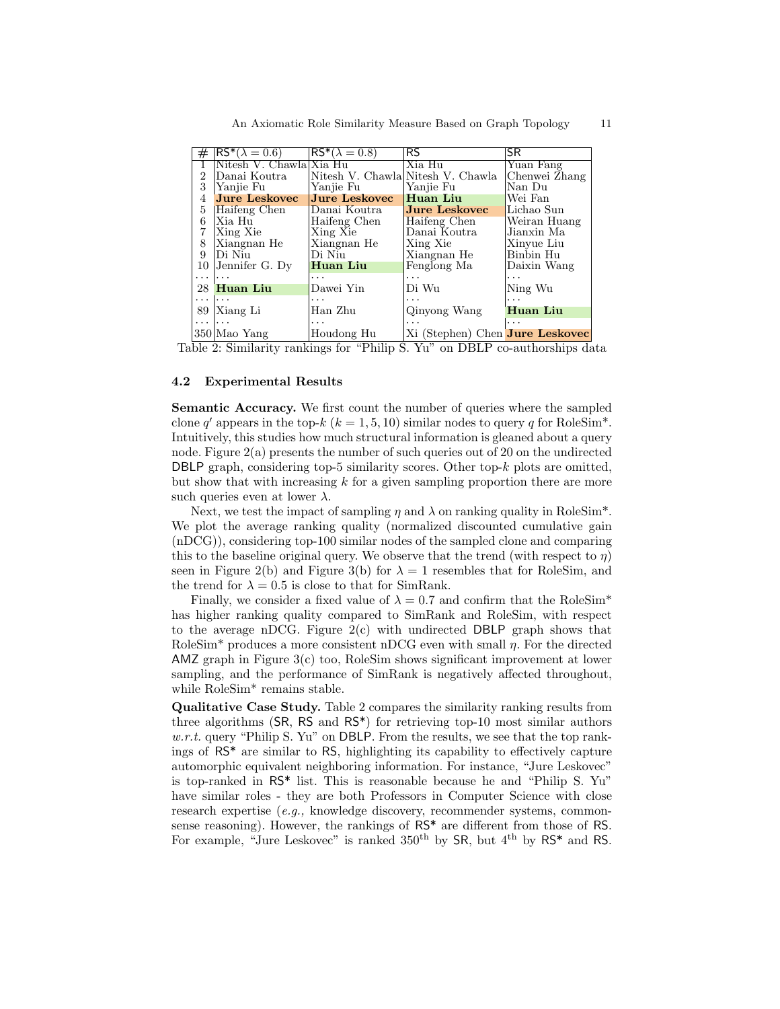| #                       | $RS^*(\lambda = 0.6)$   | $RS^*(\lambda = 0.8)$ | <b>RS</b>                         | SR            |
|-------------------------|-------------------------|-----------------------|-----------------------------------|---------------|
|                         | Nitesh V. Chawla Xia Hu |                       | Xia Hu                            | Yuan Fang     |
| 2                       | Danai Koutra            |                       | Nitesh V. Chawla Nitesh V. Chawla | Chenwei Zhang |
| 3                       | Yanjie Fu               | Yanjie Fu             | Yanjie Fu                         | Nan Du        |
| 4                       | <b>Jure Leskovec</b>    | <b>Jure Leskovec</b>  | Huan Liu                          | Wei Fan       |
| 5                       | Haifeng Chen            | Danai Koutra          | Jure Leskovec                     | Lichao Sun    |
| 6                       | Xia Hu                  | Haifeng Chen          | Haifeng Chen                      | Weiran Huang  |
| 7                       | Xing Xie                | Xing Xie              | Danai Koutra                      | Jianxin Ma    |
| 8                       | Xiangnan He             | Xiangnan He           | Xing Xie                          | Xinyue Liu    |
| 9                       | Di Niu                  | Di Niu                | Xiangnan He                       | Binbin Hu     |
| 10                      | Jennifer G. Dy          | Huan Liu              | Fenglong Ma                       | Daixin Wang   |
|                         |                         | .                     |                                   |               |
| 28                      | Huan Liu                | Dawei Yin             | Di Wu                             | Ning Wu       |
| .                       |                         |                       | .                                 | .             |
| 89                      | Xiang Li                | Han Zhu               | Qinyong Wang                      | Huan Liu      |
| $\cdot$ $\cdot$ $\cdot$ |                         | .                     |                                   | .             |
|                         | $350$  Mao Yang         | Houdong Hu            | Xi (Stephen) Chen Jure Leskovec   |               |

An Axiomatic Role Similarity Measure Based on Graph Topology 11

Table 2: Similarity rankings for "Philip S. Yu" on DBLP co-authorships data

#### 4.2 Experimental Results

Semantic Accuracy. We first count the number of queries where the sampled clone q' appears in the top-k  $(k = 1, 5, 10)$  similar nodes to query q for RoleSim<sup>\*</sup>. Intuitively, this studies how much structural information is gleaned about a query node. Figure 2(a) presents the number of such queries out of 20 on the undirected DBLP graph, considering top-5 similarity scores. Other top- $k$  plots are omitted, but show that with increasing  $k$  for a given sampling proportion there are more such queries even at lower  $\lambda$ .

Next, we test the impact of sampling  $\eta$  and  $\lambda$  on ranking quality in RoleSim<sup>\*</sup>. We plot the average ranking quality (normalized discounted cumulative gain (nDCG)), considering top-100 similar nodes of the sampled clone and comparing this to the baseline original query. We observe that the trend (with respect to  $\eta$ ) seen in Figure 2(b) and Figure 3(b) for  $\lambda = 1$  resembles that for RoleSim, and the trend for  $\lambda = 0.5$  is close to that for SimRank.

Finally, we consider a fixed value of  $\lambda = 0.7$  and confirm that the RoleSim<sup>\*</sup> has higher ranking quality compared to SimRank and RoleSim, with respect to the average nDCG. Figure  $2(c)$  with undirected DBLP graph shows that RoleSim<sup>\*</sup> produces a more consistent nDCG even with small  $\eta$ . For the directed AMZ graph in Figure 3(c) too, RoleSim shows significant improvement at lower sampling, and the performance of SimRank is negatively affected throughout, while RoleSim<sup>\*</sup> remains stable.

Qualitative Case Study. Table 2 compares the similarity ranking results from three algorithms (SR, RS and RS\*) for retrieving top-10 most similar authors  $w.r.t.$  query "Philip S. Yu" on DBLP. From the results, we see that the top rankings of RS\* are similar to RS, highlighting its capability to effectively capture automorphic equivalent neighboring information. For instance, "Jure Leskovec" is top-ranked in RS\* list. This is reasonable because he and "Philip S. Yu" have similar roles - they are both Professors in Computer Science with close research expertise (e.g., knowledge discovery, recommender systems, commonsense reasoning). However, the rankings of RS\* are different from those of RS. For example, "Jure Leskovec" is ranked  $350^{\text{th}}$  by SR, but  $4^{\text{th}}$  by RS\* and RS.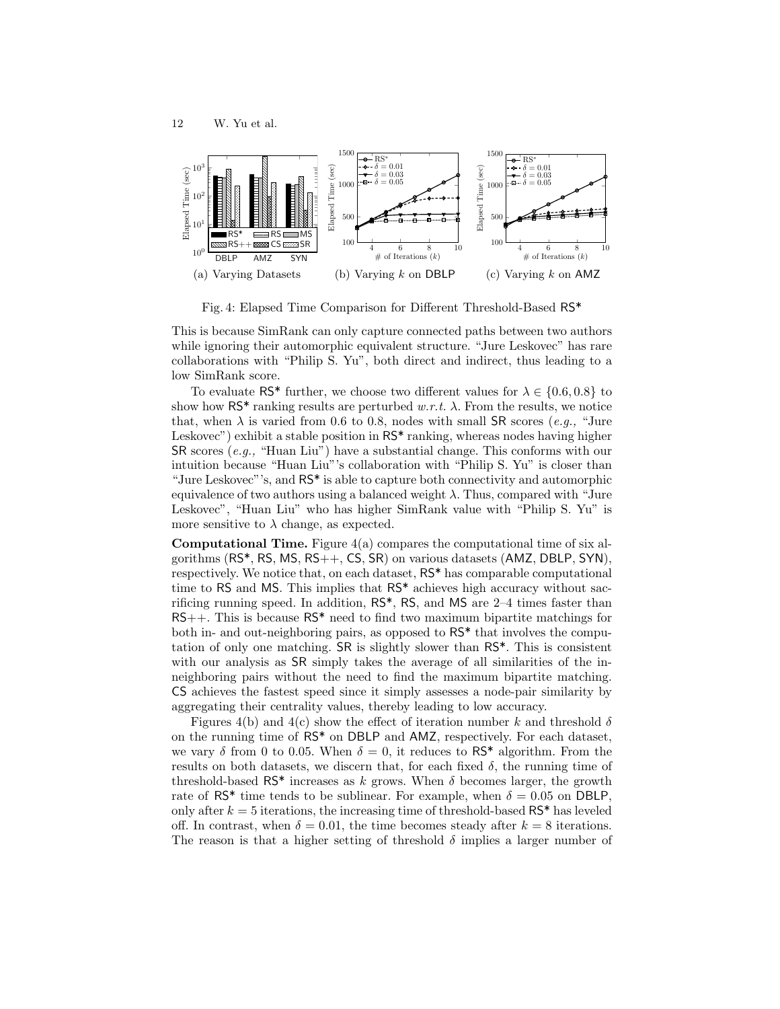

Fig. 4: Elapsed Time Comparison for Different Threshold-Based RS\*

This is because SimRank can only capture connected paths between two authors while ignoring their automorphic equivalent structure. "Jure Leskovec" has rare collaborations with "Philip S. Yu", both direct and indirect, thus leading to a low SimRank score.

To evaluate RS<sup>\*</sup> further, we choose two different values for  $\lambda \in \{0.6, 0.8\}$  to show how RS<sup>\*</sup> ranking results are perturbed w.r.t.  $\lambda$ . From the results, we notice that, when  $\lambda$  is varied from 0.6 to 0.8, nodes with small SR scores (e.g., "Jure Leskovec") exhibit a stable position in  $RS^*$  ranking, whereas nodes having higher SR scores (e.g., "Huan Liu") have a substantial change. This conforms with our intuition because "Huan Liu"'s collaboration with "Philip S. Yu" is closer than "Jure Leskovec"'s, and RS\* is able to capture both connectivity and automorphic equivalence of two authors using a balanced weight  $\lambda$ . Thus, compared with "Jure Leskovec", "Huan Liu" who has higher SimRank value with "Philip S. Yu" is more sensitive to  $\lambda$  change, as expected.

**Computational Time.** Figure  $4(a)$  compares the computational time of six algorithms (RS\*, RS, MS, RS++, CS, SR) on various datasets (AMZ, DBLP, SYN), respectively. We notice that, on each dataset, RS\* has comparable computational time to RS and MS. This implies that RS\* achieves high accuracy without sacrificing running speed. In addition, RS\*, RS, and MS are 2–4 times faster than  $RS++$ . This is because  $RS^*$  need to find two maximum bipartite matchings for both in- and out-neighboring pairs, as opposed to RS\* that involves the computation of only one matching. SR is slightly slower than RS\*. This is consistent with our analysis as SR simply takes the average of all similarities of the inneighboring pairs without the need to find the maximum bipartite matching. CS achieves the fastest speed since it simply assesses a node-pair similarity by aggregating their centrality values, thereby leading to low accuracy.

Figures 4(b) and 4(c) show the effect of iteration number k and threshold  $\delta$ on the running time of RS\* on DBLP and AMZ, respectively. For each dataset, we vary  $\delta$  from 0 to 0.05. When  $\delta = 0$ , it reduces to RS<sup>\*</sup> algorithm. From the results on both datasets, we discern that, for each fixed  $\delta$ , the running time of threshold-based RS<sup>\*</sup> increases as k grows. When  $\delta$  becomes larger, the growth rate of RS<sup>\*</sup> time tends to be sublinear. For example, when  $\delta = 0.05$  on DBLP, only after  $k = 5$  iterations, the increasing time of threshold-based  $RS^*$  has leveled off. In contrast, when  $\delta = 0.01$ , the time becomes steady after  $k = 8$  iterations. The reason is that a higher setting of threshold  $\delta$  implies a larger number of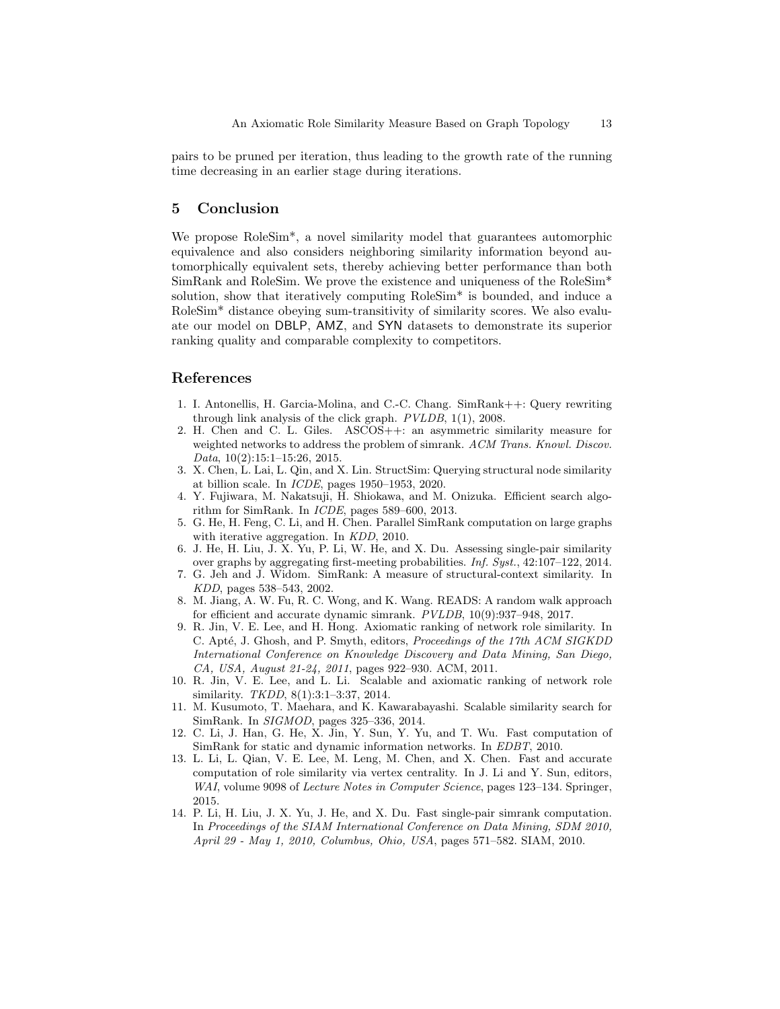pairs to be pruned per iteration, thus leading to the growth rate of the running time decreasing in an earlier stage during iterations.

# 5 Conclusion

We propose RoleSim<sup>\*</sup>, a novel similarity model that guarantees automorphic equivalence and also considers neighboring similarity information beyond automorphically equivalent sets, thereby achieving better performance than both SimRank and RoleSim. We prove the existence and uniqueness of the RoleSim\* solution, show that iteratively computing RoleSim\* is bounded, and induce a RoleSim\* distance obeying sum-transitivity of similarity scores. We also evaluate our model on DBLP, AMZ, and SYN datasets to demonstrate its superior ranking quality and comparable complexity to competitors.

# References

- 1. I. Antonellis, H. Garcia-Molina, and C.-C. Chang. SimRank++: Query rewriting through link analysis of the click graph. PVLDB, 1(1), 2008.
- 2. H. Chen and C. L. Giles. ASCOS++: an asymmetric similarity measure for weighted networks to address the problem of simrank. ACM Trans. Knowl. Discov. Data,  $10(2):15:1-15:26$ ,  $2015$ .
- 3. X. Chen, L. Lai, L. Qin, and X. Lin. StructSim: Querying structural node similarity at billion scale. In ICDE, pages 1950–1953, 2020.
- 4. Y. Fujiwara, M. Nakatsuji, H. Shiokawa, and M. Onizuka. Efficient search algorithm for SimRank. In ICDE, pages 589–600, 2013.
- 5. G. He, H. Feng, C. Li, and H. Chen. Parallel SimRank computation on large graphs with iterative aggregation. In KDD, 2010.
- 6. J. He, H. Liu, J. X. Yu, P. Li, W. He, and X. Du. Assessing single-pair similarity over graphs by aggregating first-meeting probabilities. Inf. Syst., 42:107–122, 2014.
- 7. G. Jeh and J. Widom. SimRank: A measure of structural-context similarity. In KDD, pages 538–543, 2002.
- 8. M. Jiang, A. W. Fu, R. C. Wong, and K. Wang. READS: A random walk approach for efficient and accurate dynamic simrank. PVLDB, 10(9):937–948, 2017.
- 9. R. Jin, V. E. Lee, and H. Hong. Axiomatic ranking of network role similarity. In C. Apté, J. Ghosh, and P. Smyth, editors, *Proceedings of the 17th ACM SIGKDD* International Conference on Knowledge Discovery and Data Mining, San Diego, CA, USA, August 21-24, 2011, pages 922–930. ACM, 2011.
- 10. R. Jin, V. E. Lee, and L. Li. Scalable and axiomatic ranking of network role similarity. *TKDD*, 8(1):3:1-3:37, 2014.
- 11. M. Kusumoto, T. Maehara, and K. Kawarabayashi. Scalable similarity search for SimRank. In SIGMOD, pages 325–336, 2014.
- 12. C. Li, J. Han, G. He, X. Jin, Y. Sun, Y. Yu, and T. Wu. Fast computation of SimRank for static and dynamic information networks. In EDBT, 2010.
- 13. L. Li, L. Qian, V. E. Lee, M. Leng, M. Chen, and X. Chen. Fast and accurate computation of role similarity via vertex centrality. In J. Li and Y. Sun, editors, WAI, volume 9098 of *Lecture Notes in Computer Science*, pages 123–134. Springer, 2015.
- 14. P. Li, H. Liu, J. X. Yu, J. He, and X. Du. Fast single-pair simrank computation. In Proceedings of the SIAM International Conference on Data Mining, SDM 2010, April 29 - May 1, 2010, Columbus, Ohio, USA, pages 571–582. SIAM, 2010.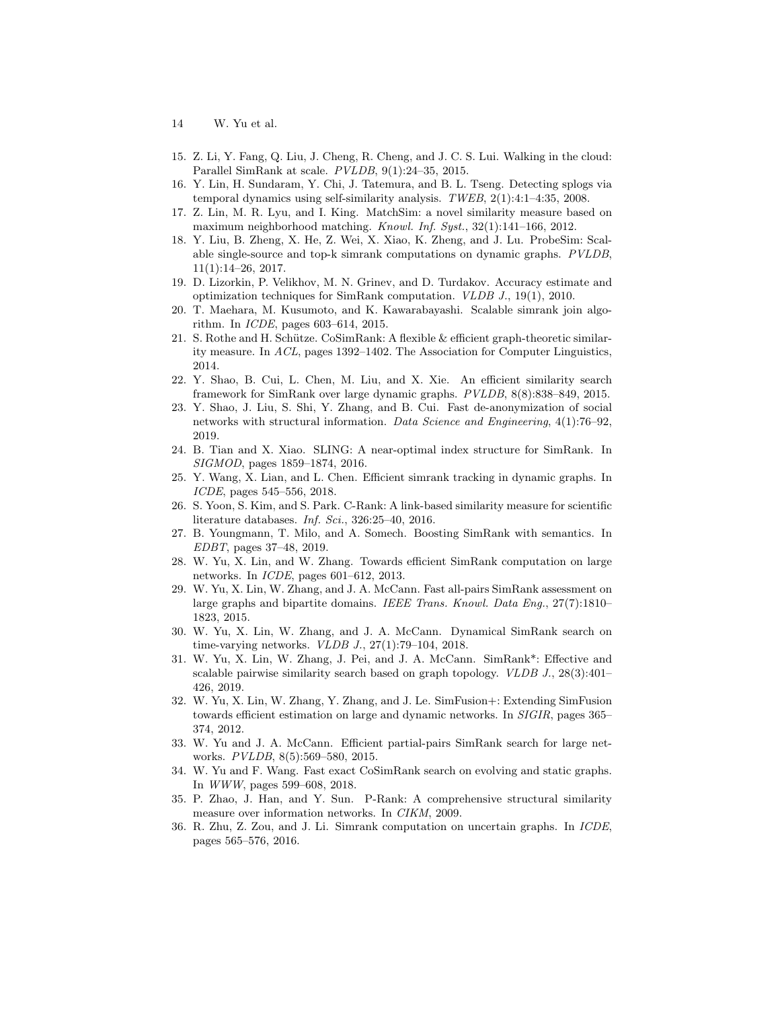- 14 W. Yu et al.
- 15. Z. Li, Y. Fang, Q. Liu, J. Cheng, R. Cheng, and J. C. S. Lui. Walking in the cloud: Parallel SimRank at scale. PVLDB, 9(1):24–35, 2015.
- 16. Y. Lin, H. Sundaram, Y. Chi, J. Tatemura, and B. L. Tseng. Detecting splogs via temporal dynamics using self-similarity analysis. TWEB, 2(1):4:1–4:35, 2008.
- 17. Z. Lin, M. R. Lyu, and I. King. MatchSim: a novel similarity measure based on maximum neighborhood matching. Knowl. Inf. Syst., 32(1):141–166, 2012.
- 18. Y. Liu, B. Zheng, X. He, Z. Wei, X. Xiao, K. Zheng, and J. Lu. ProbeSim: Scalable single-source and top-k simrank computations on dynamic graphs. PVLDB, 11(1):14–26, 2017.
- 19. D. Lizorkin, P. Velikhov, M. N. Grinev, and D. Turdakov. Accuracy estimate and optimization techniques for SimRank computation. VLDB J., 19(1), 2010.
- 20. T. Maehara, M. Kusumoto, and K. Kawarabayashi. Scalable simrank join algorithm. In ICDE, pages 603–614, 2015.
- 21. S. Rothe and H. Schütze. CoSimRank: A flexible & efficient graph-theoretic similarity measure. In ACL, pages 1392–1402. The Association for Computer Linguistics, 2014.
- 22. Y. Shao, B. Cui, L. Chen, M. Liu, and X. Xie. An efficient similarity search framework for SimRank over large dynamic graphs. PVLDB, 8(8):838–849, 2015.
- 23. Y. Shao, J. Liu, S. Shi, Y. Zhang, and B. Cui. Fast de-anonymization of social networks with structural information. Data Science and Engineering, 4(1):76–92, 2019.
- 24. B. Tian and X. Xiao. SLING: A near-optimal index structure for SimRank. In SIGMOD, pages 1859–1874, 2016.
- 25. Y. Wang, X. Lian, and L. Chen. Efficient simrank tracking in dynamic graphs. In ICDE, pages 545–556, 2018.
- 26. S. Yoon, S. Kim, and S. Park. C-Rank: A link-based similarity measure for scientific literature databases. Inf. Sci., 326:25–40, 2016.
- 27. B. Youngmann, T. Milo, and A. Somech. Boosting SimRank with semantics. In EDBT, pages 37–48, 2019.
- 28. W. Yu, X. Lin, and W. Zhang. Towards efficient SimRank computation on large networks. In ICDE, pages 601–612, 2013.
- 29. W. Yu, X. Lin, W. Zhang, and J. A. McCann. Fast all-pairs SimRank assessment on large graphs and bipartite domains. IEEE Trans. Knowl. Data Eng., 27(7):1810– 1823, 2015.
- 30. W. Yu, X. Lin, W. Zhang, and J. A. McCann. Dynamical SimRank search on time-varying networks. VLDB J., 27(1):79–104, 2018.
- 31. W. Yu, X. Lin, W. Zhang, J. Pei, and J. A. McCann. SimRank\*: Effective and scalable pairwise similarity search based on graph topology. VLDB J., 28(3):401– 426, 2019.
- 32. W. Yu, X. Lin, W. Zhang, Y. Zhang, and J. Le. SimFusion+: Extending SimFusion towards efficient estimation on large and dynamic networks. In SIGIR, pages 365– 374, 2012.
- 33. W. Yu and J. A. McCann. Efficient partial-pairs SimRank search for large networks. PVLDB, 8(5):569–580, 2015.
- 34. W. Yu and F. Wang. Fast exact CoSimRank search on evolving and static graphs. In WWW, pages 599–608, 2018.
- 35. P. Zhao, J. Han, and Y. Sun. P-Rank: A comprehensive structural similarity measure over information networks. In CIKM, 2009.
- 36. R. Zhu, Z. Zou, and J. Li. Simrank computation on uncertain graphs. In ICDE, pages 565–576, 2016.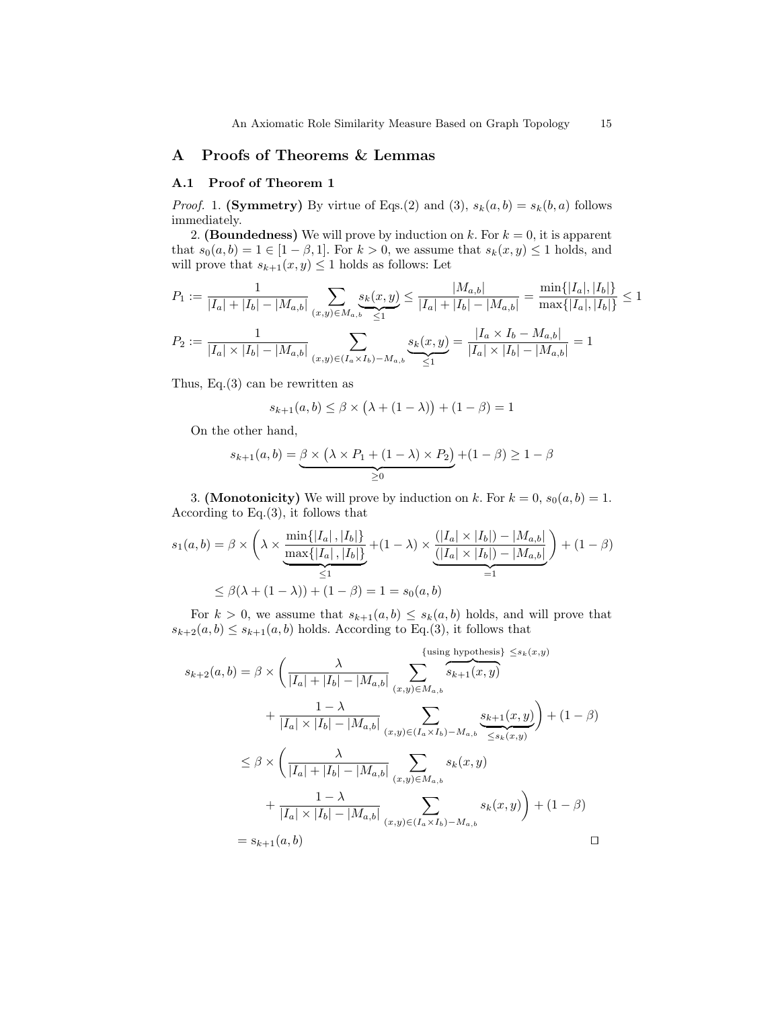# A Proofs of Theorems & Lemmas

### A.1 Proof of Theorem 1

*Proof.* 1. (Symmetry) By virtue of Eqs.(2) and (3),  $s_k(a, b) = s_k(b, a)$  follows immediately.

2. (Boundedness) We will prove by induction on k. For  $k = 0$ , it is apparent that  $s_0(a, b) = 1 \in [1 - \beta, 1]$ . For  $k > 0$ , we assume that  $s_k(x, y) \le 1$  holds, and will prove that  $s_{k+1}(x, y) \leq 1$  holds as follows: Let

$$
P_1 := \frac{1}{|I_a| + |I_b| - |M_{a,b}|} \sum_{(x,y) \in M_{a,b}} \frac{s_k(x,y)}{\leq 1} \leq \frac{|M_{a,b}|}{|I_a| + |I_b| - |M_{a,b}|} = \frac{\min\{|I_a|, |I_b|\}}{\max\{|I_a|, |I_b|\}} \leq 1
$$

$$
P_2 := \frac{1}{|I_a| \times |I_b| - |M_{a,b}|} \sum_{(x,y) \in (I_a \times I_b) - M_{a,b}} \frac{s_k(x,y)}{\leq 1} = \frac{|I_a \times I_b - M_{a,b}|}{|I_a| \times |I_b| - |M_{a,b}|} = 1
$$

Thus, Eq.(3) can be rewritten as

$$
s_{k+1}(a,b) \le \beta \times (\lambda + (1 - \lambda)) + (1 - \beta) = 1
$$

On the other hand,

$$
s_{k+1}(a,b) = \underbrace{\beta \times (\lambda \times P_1 + (1 - \lambda) \times P_2)}_{\geq 0} + (1 - \beta) \geq 1 - \beta
$$

3. (Monotonicity) We will prove by induction on k. For  $k = 0$ ,  $s_0(a, b) = 1$ . According to Eq.(3), it follows that

$$
s_1(a,b) = \beta \times \left(\lambda \times \underbrace{\frac{\min\{|I_a|, |I_b|\}}{\max\{|I_a|, |I_b|\}}} _{\leq 1} + (1 - \lambda) \times \underbrace{\frac{(|I_a| \times |I_b|) - |M_{a,b}|}{(|I_a| \times |I_b|) - |M_{a,b}|}}_{=1} \right) + (1 - \beta)
$$
  

$$
\leq \beta(\lambda + (1 - \lambda)) + (1 - \beta) = 1 = s_0(a,b)
$$

For  $k > 0$ , we assume that  $s_{k+1}(a, b) \leq s_k(a, b)$  holds, and will prove that  $s_{k+2}(a, b) \leq s_{k+1}(a, b)$  holds. According to Eq.(3), it follows that

$$
s_{k+2}(a,b) = \beta \times \left(\frac{\lambda}{|I_a| + |I_b| - |M_{a,b}|} \sum_{(x,y) \in M_{a,b}}^{\{\text{using hypothesis}\}} \le s_k(x,y) + \frac{1 - \lambda}{|I_a| \times |I_b| - |M_{a,b}|} \sum_{(x,y) \in (I_a \times I_b) - M_{a,b}} \frac{s_{k+1}(x,y)}{\le s_k(x,y)}\right) + (1 - \beta)
$$
  

$$
\leq \beta \times \left(\frac{\lambda}{|I_a| + |I_b| - |M_{a,b}|} \sum_{(x,y) \in M_{a,b}} s_k(x,y) + \frac{1 - \lambda}{|I_a| \times |I_b| - |M_{a,b}|} \sum_{(x,y) \in (I_a \times I_b) - M_{a,b}} s_k(x,y)\right) + (1 - \beta)
$$
  

$$
= s_{k+1}(a,b) \qquad \Box
$$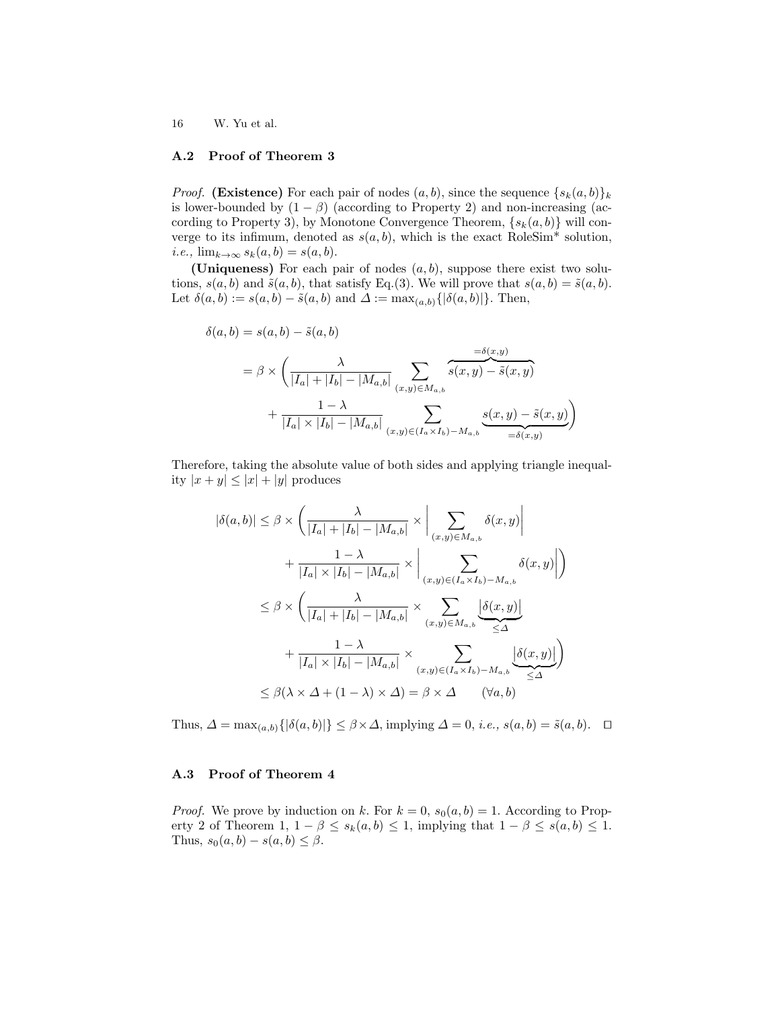## A.2 Proof of Theorem 3

*Proof.* (Existence) For each pair of nodes  $(a, b)$ , since the sequence  $\{s_k(a, b)\}_k$ is lower-bounded by  $(1 - \beta)$  (according to Property 2) and non-increasing (according to Property 3), by Monotone Convergence Theorem,  $\{s_k(a, b)\}\$  will converge to its infimum, denoted as  $s(a, b)$ , which is the exact RoleSim<sup>\*</sup> solution, *i.e.*,  $\lim_{k\to\infty} s_k(a, b) = s(a, b).$ 

(Uniqueness) For each pair of nodes  $(a, b)$ , suppose there exist two solutions,  $s(a, b)$  and  $\tilde{s}(a, b)$ , that satisfy Eq.(3). We will prove that  $s(a, b) = \tilde{s}(a, b)$ . Let  $\delta(a, b) := s(a, b) - \tilde{s}(a, b)$  and  $\Delta := \max_{(a, b)} \{ |\delta(a, b)| \}$ . Then,

$$
\delta(a,b) = s(a,b) - \tilde{s}(a,b)
$$
  

$$
= \beta \times \left(\frac{\lambda}{|I_a| + |I_b| - |M_{a,b}|} \sum_{(x,y) \in M_{a,b}} \widetilde{s(x,y) - \tilde{s}(x,y)}\right)
$$
  

$$
+ \frac{1 - \lambda}{|I_a| \times |I_b| - |M_{a,b}|} \sum_{(x,y) \in (I_a \times I_b) - M_{a,b}} \underbrace{s(x,y) - \tilde{s}(x,y)}_{=\delta(x,y)}
$$

Therefore, taking the absolute value of both sides and applying triangle inequality  $|x + y| \leq |x| + |y|$  produces

$$
|\delta(a,b)| \leq \beta \times \left(\frac{\lambda}{|I_a| + |I_b| - |M_{a,b}|} \times \left| \sum_{(x,y) \in M_{a,b}} \delta(x,y) \right| + \frac{1 - \lambda}{|I_a| \times |I_b| - |M_{a,b}|} \times \left| \sum_{(x,y) \in (I_a \times I_b) - M_{a,b}} \delta(x,y) \right| \right)
$$
  

$$
\leq \beta \times \left(\frac{\lambda}{|I_a| + |I_b| - |M_{a,b}|} \times \sum_{(x,y) \in M_{a,b}} \frac{\left| \delta(x,y) \right|}{\leq \Delta} + \frac{1 - \lambda}{|I_a| \times |I_b| - |M_{a,b}|} \times \sum_{(x,y) \in (I_a \times I_b) - M_{a,b}} \frac{\left| \delta(x,y) \right|}{\leq \Delta} \right)
$$
  

$$
\leq \beta(\lambda \times \Delta + (1 - \lambda) \times \Delta) = \beta \times \Delta \qquad (\forall a,b)
$$

Thus,  $\Delta = \max_{(a,b)} \{ |\delta(a,b)| \} \leq \beta \times \Delta$ , implying  $\Delta = 0$ , *i.e.*,  $s(a,b) = \tilde{s}(a,b)$ .  $\Box$ 

# A.3 Proof of Theorem 4

*Proof.* We prove by induction on k. For  $k = 0$ ,  $s_0(a, b) = 1$ . According to Property 2 of Theorem 1,  $1 - \beta \le s_k(a, b) \le 1$ , implying that  $1 - \beta \le s(a, b) \le 1$ . Thus,  $s_0(a, b) - s(a, b) \leq \beta$ .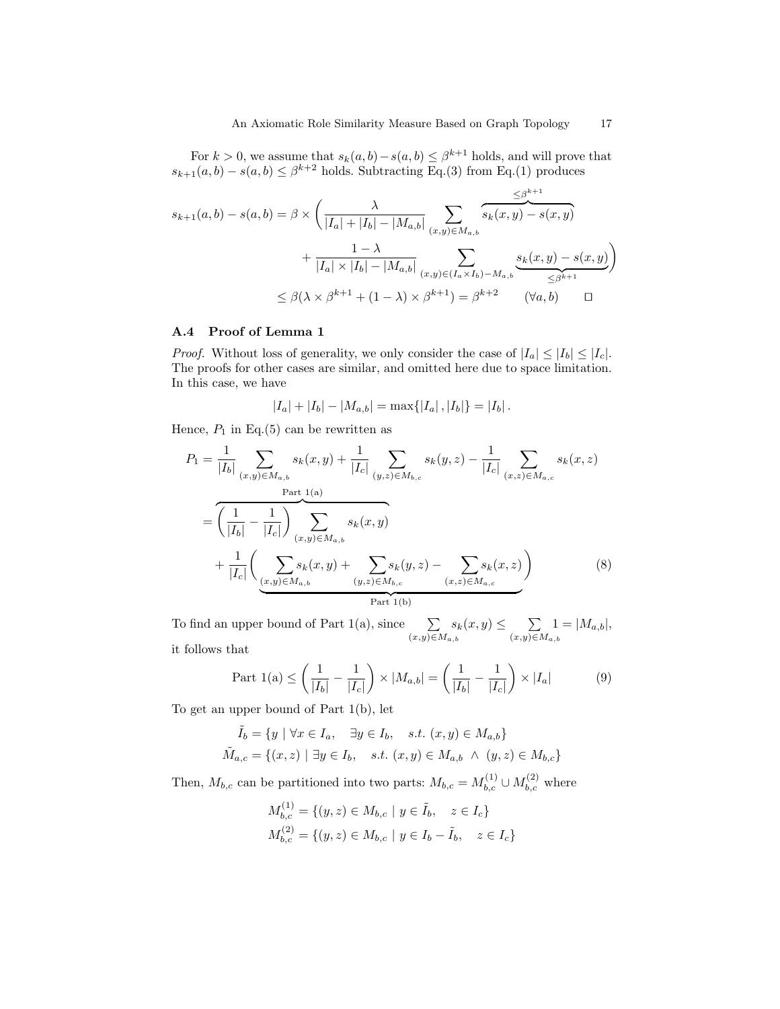For  $k > 0$ , we assume that  $s_k(a, b) - s(a, b) \leq \beta^{k+1}$  holds, and will prove that  $s_{k+1}(a, b) - s(a, b) \leq \beta^{k+2}$  holds. Subtracting Eq.(3) from Eq.(1) produces

$$
s_{k+1}(a,b) - s(a,b) = \beta \times \left(\frac{\lambda}{|I_a| + |I_b| - |M_{a,b}|} \sum_{(x,y) \in M_{a,b}} \overbrace{s_k(x,y) - s(x,y)}^{ \leq \beta^{k+1}}\right)
$$
  
+ 
$$
\frac{1 - \lambda}{|I_a| \times |I_b| - |M_{a,b}|} \sum_{(x,y) \in (I_a \times I_b) - M_{a,b}} \underbrace{s_k(x,y) - s(x,y)}_{\leq \beta^{k+1}} \right)
$$
  

$$
\leq \beta(\lambda \times \beta^{k+1} + (1 - \lambda) \times \beta^{k+1}) = \beta^{k+2} \qquad (\forall a,b) \qquad \Box
$$

#### A.4 Proof of Lemma 1

*Proof.* Without loss of generality, we only consider the case of  $|I_a| \leq |I_b| \leq |I_c|$ . The proofs for other cases are similar, and omitted here due to space limitation. In this case, we have

$$
|I_a| + |I_b| - |M_{a,b}| = \max\{|I_a|, |I_b|\} = |I_b|.
$$

Hence,  $P_1$  in Eq.(5) can be rewritten as

$$
P_{1} = \frac{1}{|I_{b}|} \sum_{(x,y)\in M_{a,b}} s_{k}(x,y) + \frac{1}{|I_{c}|} \sum_{(y,z)\in M_{b,c}} s_{k}(y,z) - \frac{1}{|I_{c}|} \sum_{(x,z)\in M_{a,c}} s_{k}(x,z)
$$

$$
= \left(\frac{1}{|I_{b}|} - \frac{1}{|I_{c}|}\right) \sum_{(x,y)\in M_{a,b}} s_{k}(x,y)
$$

$$
+ \frac{1}{|I_{c}|} \left(\sum_{(x,y)\in M_{a,b}} s_{k}(x,y) + \sum_{(y,z)\in M_{b,c}} s_{k}(y,z) - \sum_{(x,z)\in M_{a,c}} s_{k}(x,z)\right)
$$
(8)

To find an upper bound of Part 1(a), since  $\sum$  $(x,y)\in M_{a,b}$  $s_k(x, y) \leq \sum$  $(x,y) \in M_{a,b}$  $1 = |M_{a,b}|,$ it follows that

Part 1(a) 
$$
\leq \left(\frac{1}{|I_b|} - \frac{1}{|I_c|}\right) \times |M_{a,b}| = \left(\frac{1}{|I_b|} - \frac{1}{|I_c|}\right) \times |I_a|
$$
 (9)

To get an upper bound of Part 1(b), let

$$
\tilde{I}_b = \{ y \mid \forall x \in I_a, \quad \exists y \in I_b, \quad s.t. \ (x, y) \in M_{a,b} \}
$$
\n
$$
\tilde{M}_{a,c} = \{ (x, z) \mid \exists y \in I_b, \quad s.t. \ (x, y) \in M_{a,b} \ \land \ (y, z) \in M_{b,c} \}
$$

Then,  $M_{b,c}$  can be partitioned into two parts:  $M_{b,c} = M_{b,c}^{(1)} \cup M_{b,c}^{(2)}$  where

$$
M_{b,c}^{(1)} = \{(y, z) \in M_{b,c} \mid y \in \tilde{I}_b, z \in I_c\}
$$
  

$$
M_{b,c}^{(2)} = \{(y, z) \in M_{b,c} \mid y \in I_b - \tilde{I}_b, z \in I_c\}
$$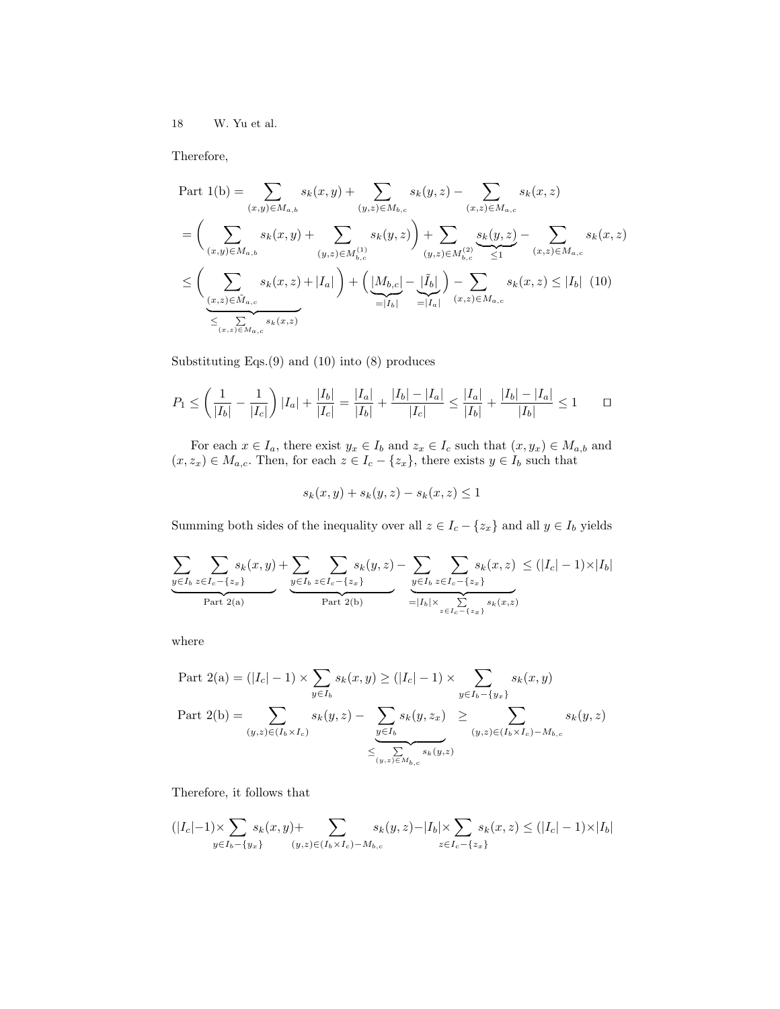Therefore,

Part 1(b) = 
$$
\sum_{(x,y)\in M_{a,b}} s_k(x,y) + \sum_{(y,z)\in M_{b,c}} s_k(y,z) - \sum_{(x,z)\in M_{a,c}} s_k(x,z)
$$
  
\n= 
$$
\left(\sum_{(x,y)\in M_{a,b}} s_k(x,y) + \sum_{(y,z)\in M_{b,c}} s_k(y,z)\right) + \sum_{(y,z)\in M_{b,c}} \underbrace{s_k(y,z)}_{(y,z)\in M_{b,c}} - \sum_{(x,z)\in M_{a,c}} s_k(x,z)
$$
  
\n
$$
\leq \left(\sum_{\substack{(x,z)\in \tilde{M}_{a,c}} s_k(x,z) + |I_a| \atop (x,z)\in M_{a,c}}} + \left(\underbrace{|M_{b,c}|}_{=|I_b|} - \underbrace{|I_b|}_{=|I_a|}\right) - \sum_{(x,z)\in M_{a,c}} s_k(x,z) \leq |I_b| \tag{10}
$$

Substituting Eqs.(9) and (10) into (8) produces

$$
P_1 \le \left(\frac{1}{|I_b|} - \frac{1}{|I_c|}\right)|I_a| + \frac{|I_b|}{|I_c|} = \frac{|I_a|}{|I_b|} + \frac{|I_b| - |I_a|}{|I_c|} \le \frac{|I_a|}{|I_b|} + \frac{|I_b| - |I_a|}{|I_b|} \le 1 \qquad \Box
$$

For each  $x \in I_a$ , there exist  $y_x \in I_b$  and  $z_x \in I_c$  such that  $(x, y_x) \in M_{a,b}$  and  $(x, z_x) \in M_{a,c}$ . Then, for each  $z \in I_c - \{z_x\}$ , there exists  $y \in I_b$  such that

$$
s_k(x, y) + s_k(y, z) - s_k(x, z) \le 1
$$

Summing both sides of the inequality over all  $z \in I_c - \{z_x\}$  and all  $y \in I_b$  yields

$$
\underbrace{\sum_{y \in I_b} \sum_{z \in I_c - \{z_x\}} s_k(x, y)}_{\text{Part } 2(a)} + \underbrace{\sum_{y \in I_b} \sum_{z \in I_c - \{z_x\}} s_k(y, z)}_{\text{Part } 2(b)} - \underbrace{\sum_{y \in I_b} \sum_{z \in I_c - \{z_x\}} s_k(x, z)}_{= |I_b| \times \sum_{z \in I_c - \{z_x\}} s_k(x, z)} \le (|I_c| - 1) \times |I_b|
$$

where

Part 2(a) = (|I<sub>c</sub>| - 1) × 
$$
\sum_{y \in I_b} s_k(x, y) \ge (|I_c| - 1) \times \sum_{y \in I_b - \{y_x\}} s_k(x, y)
$$
  
Part 2(b) =  $\sum_{(y,z) \in (I_b \times I_c)} s_k(y, z) - \sum_{\substack{y \in I_b \\ \le (\sum_{(y,z) \in M_{b,c}} s_k(y,z))}} s_k(y, z) \ge \sum_{(y,z) \in (I_b \times I_c) - M_{b,c}} s_k(y, z)$ 

Therefore, it follows that

$$
(|I_c|-1) \times \sum_{y \in I_b - \{y_x\}} s_k(x, y) + \sum_{(y, z) \in (I_b \times I_c) - M_{b,c}} s_k(y, z) - |I_b| \times \sum_{z \in I_c - \{z_x\}} s_k(x, z) \le (|I_c|-1) \times |I_b|
$$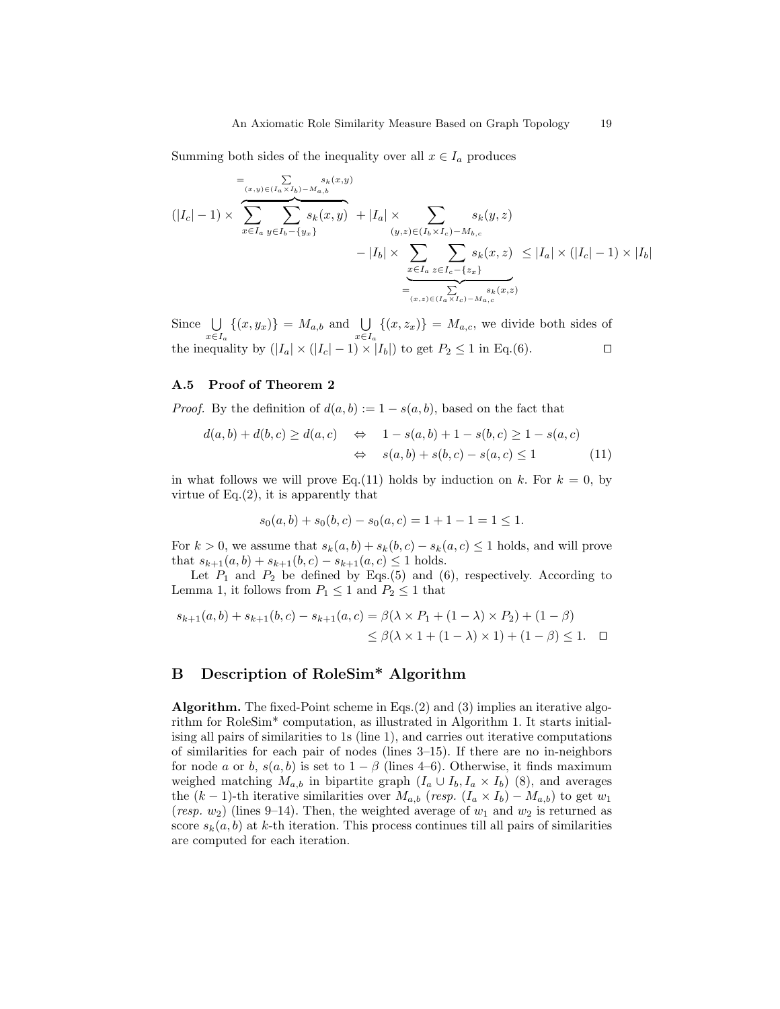Summing both sides of the inequality over all  $x \in I_a$  produces

$$
(|I_{c}|-1) \times \sum_{x \in I_{a}} \sum_{y \in (I_{a} \times I_{b})-M_{a,b}}^{s_{k}(x,y)} s_{k}(x,y) + |I_{a}| \times \sum_{(y,z) \in (I_{b} \times I_{c})-M_{b,c}} s_{k}(y,z) -|I_{b}| \times \sum_{x \in I_{a}} \sum_{z \in I_{c}-\{z_{x}\}}^{s_{k}(x,z)} s_{k}(x,z) \leq |I_{a}| \times (|I_{c}|-1) \times |I_{b}| - \sum_{(x,z) \in (I_{a} \times I_{c})-M_{a,c}}^{s_{k}(x,z)} s_{k}(x,z)
$$

Since U  $x \in I_a$  $\{(x,y_x)\}\ =\ M_{a,b}$  and  $\bigcup$  $x \in I_a$  $\{(x, z_x)\}\ =\ M_{a,c}$ , we divide both sides of the inequality by  $(|I_a| \times (|I_c| - 1) \times |I_b|)$  to get  $P_2 \le 1$  in Eq.(6).

## A.5 Proof of Theorem 2

*Proof.* By the definition of  $d(a, b) := 1 - s(a, b)$ , based on the fact that

$$
d(a,b) + d(b,c) \ge d(a,c) \quad \Leftrightarrow \quad 1 - s(a,b) + 1 - s(b,c) \ge 1 - s(a,c)
$$
  

$$
\Leftrightarrow \quad s(a,b) + s(b,c) - s(a,c) \le 1 \tag{11}
$$

in what follows we will prove Eq.(11) holds by induction on k. For  $k = 0$ , by virtue of  $Eq.(2)$ , it is apparently that

$$
s_0(a,b) + s_0(b,c) - s_0(a,c) = 1 + 1 - 1 = 1 \le 1.
$$

For  $k > 0$ , we assume that  $s_k(a, b) + s_k(b, c) - s_k(a, c) \leq 1$  holds, and will prove that  $s_{k+1}(a, b) + s_{k+1}(b, c) - s_{k+1}(a, c) \le 1$  holds.

Let  $P_1$  and  $P_2$  be defined by Eqs.(5) and (6), respectively. According to Lemma 1, it follows from  $P_1 \leq 1$  and  $P_2 \leq 1$  that

$$
s_{k+1}(a,b) + s_{k+1}(b,c) - s_{k+1}(a,c) = \beta(\lambda \times P_1 + (1 - \lambda) \times P_2) + (1 - \beta) \leq \beta(\lambda \times 1 + (1 - \lambda) \times 1) + (1 - \beta) \leq 1. \quad \Box
$$

# B Description of RoleSim\* Algorithm

Algorithm. The fixed-Point scheme in Eqs.(2) and (3) implies an iterative algorithm for RoleSim\* computation, as illustrated in Algorithm 1. It starts initialising all pairs of similarities to 1s (line 1), and carries out iterative computations of similarities for each pair of nodes (lines 3–15). If there are no in-neighbors for node a or b,  $s(a, b)$  is set to  $1 - \beta$  (lines 4–6). Otherwise, it finds maximum weighed matching  $M_{a,b}$  in bipartite graph  $(I_a \cup I_b, I_a \times I_b)$  (8), and averages the  $(k-1)$ -th iterative similarities over  $M_{a,b}$  (resp.  $(I_a \times I_b) - M_{a,b}$ ) to get  $w_1$ (resp.  $w_2$ ) (lines 9–14). Then, the weighted average of  $w_1$  and  $w_2$  is returned as score  $s_k(a, b)$  at k-th iteration. This process continues till all pairs of similarities are computed for each iteration.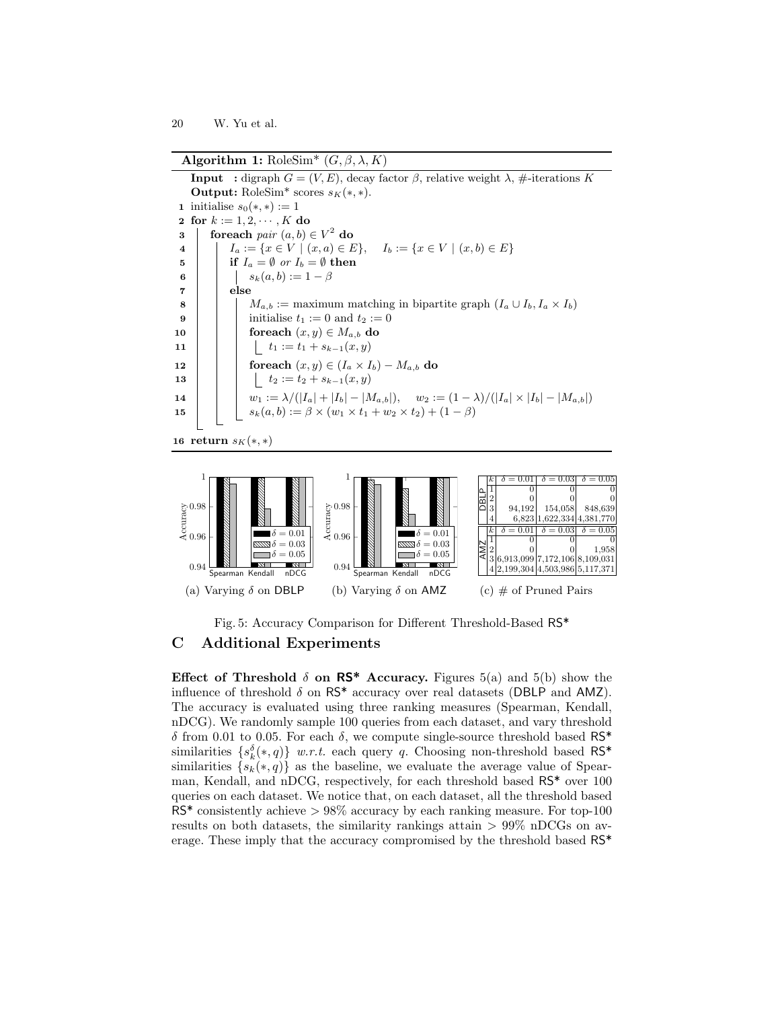**Algorithm 1:** RoleSim<sup>\*</sup>  $(G, \beta, \lambda, K)$ 

**Input** : digraph  $G = (V, E)$ , decay factor  $\beta$ , relative weight  $\lambda$ , #-iterations K **Output:** RoleSim<sup>\*</sup> scores  $s_K(*, *)$ . 1 initialise  $s_0(*,*) := 1$ 2 for  $k := 1, 2, \dots, K$  do 3 correach pair  $(a, b) \in V^2$  do 4 |  $I_a := \{x \in V \mid (x, a) \in E\}, \quad I_b := \{x \in V \mid (x, b) \in E\}$ 5 if  $I_a = \emptyset$  or  $I_b = \emptyset$  then 6 | |  $s_k(a, b) := 1 - \beta$ 7 | else 8  $\parallel$   $M_{a,b} :=$  maximum matching in bipartite graph  $(I_a \cup I_b, I_a \times I_b)$ **9** initialise  $t_1 := 0$  and  $t_2 := 0$ 10 **for do** foreach  $(x, y) \in M_{a,b}$  do 11 |  $t_1 := t_1 + s_{k-1}(x, y)$ 12 | foreach  $(x, y) \in (I_a \times I_b) - M_{a,b}$  do 13 | | |  $t_2 := t_2 + s_{k-1}(x, y)$ 14  $\vert \vert \vert w_1 := \lambda/(|I_a| + |I_b| - |M_{a,b}|), \quad w_2 := (1 - \lambda)/(|I_a| \times |I_b| - |M_{a,b}|)$ 15  $\vert \vert$   $\vert$  sk(a, b) :=  $\beta \times (w_1 \times t_1 + w_2 \times t_2) + (1 - \beta)$ 

```
16 return s_K(*,*)
```


Fig. 5: Accuracy Comparison for Different Threshold-Based RS\* C Additional Experiments

Effect of Threshold  $\delta$  on RS<sup>\*</sup> Accuracy. Figures 5(a) and 5(b) show the influence of threshold  $\delta$  on RS<sup>\*</sup> accuracy over real datasets (DBLP and AMZ). The accuracy is evaluated using three ranking measures (Spearman, Kendall, nDCG). We randomly sample 100 queries from each dataset, and vary threshold δ from 0.01 to 0.05. For each δ, we compute single-source threshold based RS\* similarities  $\{s_k^{\delta}(*, q)\}\;$  w.r.t. each query q. Choosing non-threshold based RS\* similarities  $\{s_k(*, q)\}\$ as the baseline, we evaluate the average value of Spearman, Kendall, and nDCG, respectively, for each threshold based RS\* over 100 queries on each dataset. We notice that, on each dataset, all the threshold based  $RS^*$  consistently achieve  $> 98\%$  accuracy by each ranking measure. For top-100 results on both datasets, the similarity rankings attain  $> 99\%$  nDCGs on average. These imply that the accuracy compromised by the threshold based RS\*